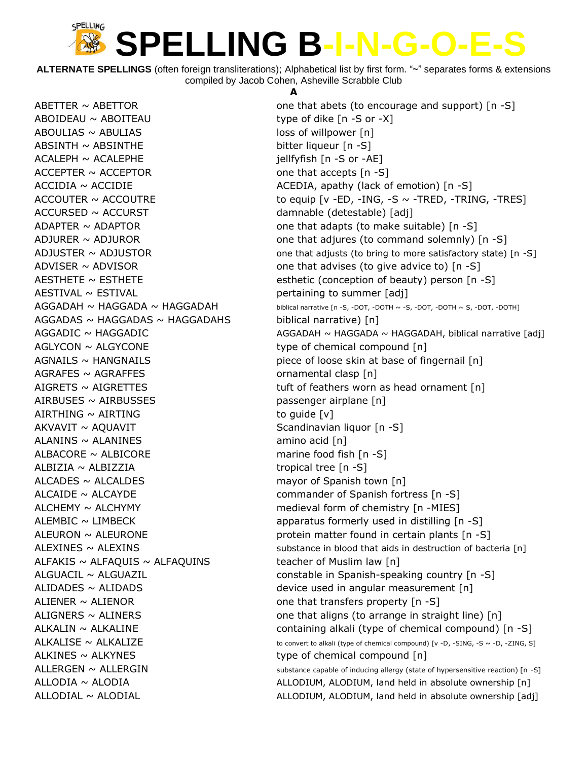**ALTERNATE SPELLINGS** (often foreign transliterations); Alphabetical list by first form. "~" separates forms & extensions compiled by Jacob Cohen, Asheville Scrabble Club

 $ABOIDEAU \sim ABOITEAU$  type of dike  $[n - S \text{ or } -X]$  $ABOULIAS \sim ABULIAS$  loss of willpower [n] ABSINTH ~ ABSINTHE bitter liqueur [n -S] ACALEPH ~ ACALEPHE in the interest of the interest of the interest in the interest of the interest of the interest of the interest of the interest of the interest of the interest of the interest of the interest of the inte  $ACCEPTER \sim ACCEPTOR$  one that accepts  $[n-S]$ ACCURSED ~ ACCURST damnable (detestable) [adj] AESTIVAL ~ ESTIVAL **pertaining to summer** [adj] AGGADAS ~ HAGGADAS ~ HAGGADAHS biblical narrative) [n] AGLYCON ~ ALGYCONE type of chemical compound [n] AGRAFES ~ AGRAFFES ornamental clasp [n] AIRBUSES  $\sim$  AIRBUSSES passenger airplane  $[n]$  $AIRTHING \sim AIRTING$  to guide  $[v]$ AKVAVIT ~ AQUAVIT SCandinavian liquor [n -S]  $ALANINS \sim ALANINES$  amino acid [n] ALBACORE ~ ALBICORE marine food fish [n -S]  $ALBIZIA \sim ALBIZZIA$  tropical tree [n -S]  $ALCADES \sim ALCALDES$  mayor of Spanish town  $[n]$ ALCAIDE ~ ALCAYDE commander of Spanish fortress [n -S] ALCHEMY ~ ALCHYMY medieval form of chemistry [n -MIES] ALFAKIS  $\sim$  ALFAQUIS  $\sim$  ALFAQUINS teacher of Muslim law [n] ALIENER  $\sim$  ALIENOR one that transfers property  $[n -S]$ ALKINES ~ ALKYNES type of chemical compound [n]

#### **A**

ABETTER  $\sim$  ABETTOR  $\sim$  6.8  $\sim$  6.8  $\sim$  6.8  $\sim$  6.8  $\sim$  6.8  $\sim$  6.8  $\sim$  6.8  $\sim$  6.8  $\sim$  6.8  $\sim$  6.8  $\sim$  6.8  $\sim$  6.8  $\sim$  6.8  $\sim$  6.8  $\sim$  6.8  $\sim$  6.8  $\sim$  6.8  $\sim$  6.8  $\sim$  6.8  $\sim$  6.8  $\sim$  6.8  $\sim$  6.8  $\$ ACCIDIA ~ ACCIDIE ACEDIA, apathy (lack of emotion) [n -S] ACCOUTER  $\sim$  ACCOUTRE to equip [v -ED, -ING, -S  $\sim$  -TRED, -TRING, -TRES] ADAPTER  $\sim$  ADAPTOR one that adapts (to make suitable) [n -S] ADJURER  $\sim$  ADJUROR one that adjures (to command solemnly)  $[n -S]$ ADJUSTER  $\sim$  ADJUSTOR one that adjusts (to bring to more satisfactory state) [n -S] ADVISER  $\sim$  ADVISOR  $\sim$  0.000 methat advises (to give advice to) [n -S] AESTHETE ~ ESTHETE esthetic (conception of beauty) person [n -S]  $\overline{AGGADAH} \sim \overline{HAGGADA} \sim \overline{HAGGADA}$   $\sim$   $HAGGADAH$  biblical narrative [n -S, -DOT, -DOTH ~ -S, -DOT, -DOTH ~ S, -DOT, -DOTH] AGGADIC ~ HAGGADIC <br>AGGADAH ~ HAGGADA ~ HAGGADAH, biblical narrative [adj]  $AGNALS \sim HANGNAILS$  piece of loose skin at base of fingernail [n] AIGRETS  $\sim$  AIGRETTES tuft of feathers worn as head ornament [n] ALEMBIC ~ LIMBECK **apparatus formerly used in distilling [n** -S] ALEURON ~ ALEURONE external protein matter found in certain plants [n -S] ALEXINES ~ ALEXINS Substance in blood that aids in destruction of bacteria [n] ALGUACIL ~ ALGUAZIL **constable in Spanish-speaking country [n** -S] ALIDADES ~ ALIDADS device used in angular measurement [n] ALIGNERS  $\sim$  ALINERS  $\sim$  ALINERS  $\sim$  ALINERS  $\sim$  8.5 and the straight line) [n] ALKALIN ~ ALKALINE **containing alkali** (type of chemical compound) [n -S]  $ALKALISE \sim ALKALIZE$  to convert to alkali (type of chemical compound) [v -D, -SING, -S ~ -D, -ZING, S]  $ALLERGEN \sim ALLERGIN$  substance capable of inducing allergy (state of hypersensitive reaction) [n -S] ALLODIA ~ ALODIA **ALLOODIUM, ALODIUM, ALODIUM**, land held in absolute ownership [n] ALLODIAL ~ ALODIAL **ALOUS ALLODIUM, ALODIUM, ALODIUM**, land held in absolute ownership [adj]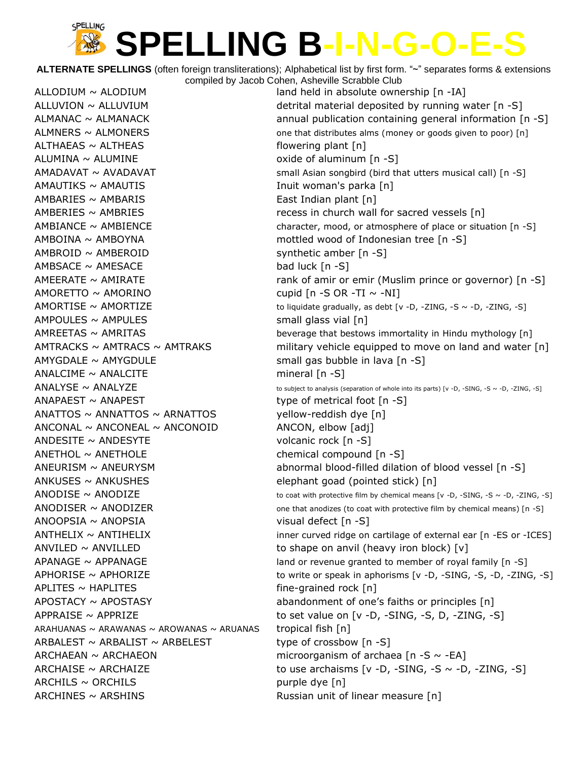**ALTERNATE SPELLINGS** (often foreign transliterations); Alphabetical list by first form. "~" separates forms & extensions compiled by Jacob Cohen, Asheville Scrabble Club

 $ALTHAEAS \sim ALTHEAS$  flowering plant  $[n]$ ALUMINA ~ ALUMINE **and all all oxide of aluminum** [n -S]  $AMAUTIKS \sim AMAUTIS$  Inuit woman's parka [n] AMBARIES ~ AMBARIS **East Indian plant** [n]  $AMBOINA \sim AMBOYNA$  mottled wood of Indonesian tree [n -S]  $AMBROID \sim AMBEROID$  synthetic amber  $[n -S]$  $AMBSACE ~ AMESACE$  bad luck  $[n -S]$  $AMORETTO \sim AMORINO$  cupid [n -S OR -TI  $\sim$  -NI]  $AMPOULES \sim AMPULES$  small glass vial [n]  $AMYGDALE \sim AMYGDULE$  small gas bubble in lava [n -S]  $ANALCIME \sim ANALCITE$  mineral [n -S] ANAPAEST ~ ANAPEST type of metrical foot [n -S]  $\triangle$ ANATTOS ~ ANNATTOS ~ ARNATTOS yellow-reddish dye [n]  $\triangle$  ANCONAL ~ ANCONEAL ~ ANCONOID ANCON, elbow [adj] ANDESITE ~ ANDESYTE volcanic rock [n -S] ANETHOL ~ ANETHOLE chemical compound [n -S] ANKUSES  $\sim$  ANKUSHES elephant goad (pointed stick) [n] ANOOPSIA ~ ANOPSIA visual defect [n -S] ANVILED  $\sim$  ANVILLED  $\sim$  ANVILLED  $APLITES \sim HAPLITES$  fine-grained rock [n] ARAHUANAS ~ ARAWANAS ~ AROWANAS ~ ARUANAS tropical fish  $[n]$ ARBALEST  $\sim$  ARBALIST  $\sim$  ARBELEST type of crossbow [n -S] ARCHAEAN  $\sim$  ARCHAEON microorganism of archaea [n -S  $\sim$  -EA]  $ARCHILS \sim ORCHILS$  purple dye [n] ARCHINES ~ ARSHINS **Russian unit of linear measure** [n]

ALLODIUM ~ ALODIUM **in absolute ownership** [n -IA] ALLUVION  $\sim$  ALLUVIUM detrital material deposited by running water  $[n -S]$ ALMANAC  $\sim$  ALMANACK annual publication containing general information  $[n -S]$  $ALMNERS \sim ALMONERS$   $one that distributes almost more than the same time.$  ALMNERS  $\sim$  ALMONERS  $AMADAVAT \sim AVADAVAT$  small Asian songbird (bird that utters musical call) [n -S] AMBERIES  $\sim$  AMBRIES  $\sim$  ambies and the secess in church wall for sacred vessels [n]  $AMBIANCE \sim AMBIENCE$  character, mood, or atmosphere of place or situation [n -S] AMEERATE ~ AMIRATE **rank of amir or emir (Muslim prince or governor)** [n -S] AMORTISE  $\sim$  AMORTIZE to liquidate gradually, as debt  $\lceil v \cdot D \rceil$  -ZING, -S  $\sim$  -D, -ZING, -S]  $AMREETAS \sim AMRITAS$  beverage that bestows immortality in Hindu mythology [n] AMTRACKS  $\sim$  AMTRACS  $\sim$  AMTRAKS military vehicle equipped to move on land and water [n]  $\triangle NALYSE \sim \triangle NALYZE$  to subject to analysis (separation of whole into its parts) [v -D, -SING, -S ~ -D, -ZING, -S] ANEURISM ~ ANEURYSM abnormal blood-filled dilation of blood vessel [n -S] ANODISE  $\sim$  ANODIZE to coat with protective film by chemical means [v -D, -SING, -S  $\sim$  -D, -ZING, -S] ANODISER  $\sim$  ANODIZER  $\sim$  and  $\sim$   $\sim$  51  $A$ NTHELIX  $\sim$  ANTIHELIX inner curved ridge on cartilage of external ear [n -ES or -ICES]  $APANAGE \sim APPANAGE$  land or revenue granted to member of royal family  $[n -S]$ APHORISE  $\sim$  APHORIZE  $\sim$  to write or speak in aphorisms [v -D, -SING, -S, -D, -ZING, -S] APOSTACY ~ APOSTASY abandonment of one's faiths or principles [n] APPRAISE  $\sim$  APPRIZE  $\sim$  to set value on [v -D, -SING, -S, D, -ZING, -S] ARCHAISE  $\sim$  ARCHAIZE to use archaisms  $\lceil v - D_r - S \rceil N G_r - S \sim -D_r - Z \rceil N G_r - S \rceil$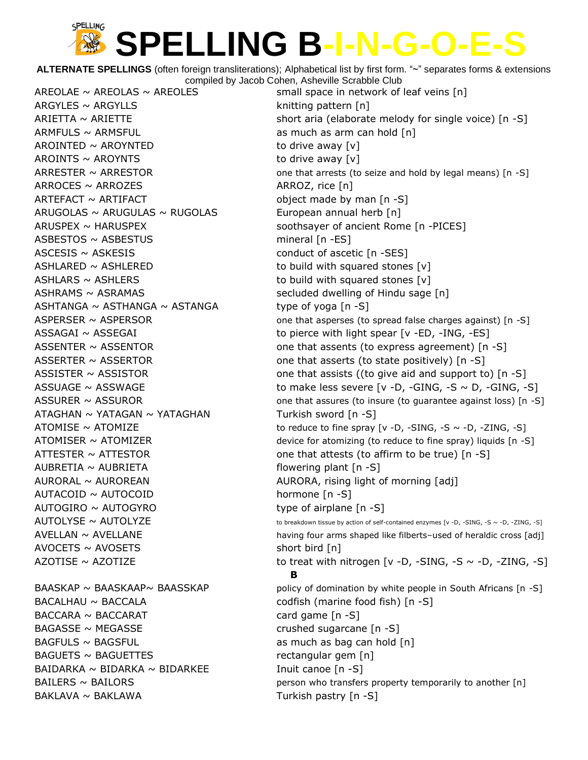**ALTERNATE SPELLINGS** (often foreign transliterations); Alphabetical list by first form. "~" separates forms & extensions compiled by Jacob Cohen, Asheville Scrabble Club

AREOLAE  $\sim$  AREOLAS  $\sim$  AREOLES small space in network of leaf veins [n]  $ARGYLES \sim ARGYLLS$  knitting pattern [n]  $ARMFULS \sim ARMSFUL$  as much as arm can hold  $[n]$  $AROINTED \sim AROYNTED$  to drive away [v]  $AROINTS \sim AROYNTS$  to drive away  $[v]$  $ARROCES \sim ARROZES$  ARROZES ARROZ, rice [n]  $ARTEFACT \sim ARTIFACT$  object made by man  $[n -S]$  $ARUGOLAS \sim ARUGULAS \sim RUGOLAS$  European annual herb [n] ARUSPEX ~ HARUSPEX **Soothsayer of ancient Rome [n** -PICES] ASBESTOS ~ ASBESTUS mineral [n -ES]  $\triangle$  ASCESIS  $\sim$  ASKESIS conduct of ascetic [n -SES]  $ASHLARED \sim ASHLERED$  to build with squared stones [v]  $ASHLARS \sim ASHLERS$  to build with squared stones [v] ASHRAMS ~ ASRAMAS decluded dwelling of Hindu sage [n] ASHTANGA  $\sim$  ASTHANGA  $\sim$  ASTANGA type of yoga [n -S] ATAGHAN ~ YATAGAN ~ YATAGHAN Turkish sword [n -S]  $AUBRETIA \sim AUBRIETA$  flowering plant [n -S] AURORAL ~ AUROREAN AURORA, rising light of morning [adj] AUTACOID ~ AUTOCOID hormone [n -S]  $AUTOGIRO \sim AUTOGYRO$  type of airplane  $[n -S]$  $AVOCEPTS \sim AVOSETS$  short bird [n] BACALHAU ~ BACCALA codfish (marine food fish) [n -S]  $BACCARA \sim BACCARAT$  card game [n -S] BAGASSE ~ MEGASSE crushed sugarcane [n -S]  $BAGFULS \sim BAGSFUL$  as much as bag can hold  $[n]$ BAGUETS ~ BAGUETTES rectangular gem [n] BAIDARKA  $\sim$  BIDARKA  $\sim$  BIDARKEE Inuit canoe  $[n -S]$ 

 $ARIETTA \sim ARIETTE$  short aria (elaborate melody for single voice) [n -S] ARRESTER  $\sim$  ARRESTOR  $\sim$  0ne that arrests (to seize and hold by legal means) [n -S] ASPERSER  $\sim$  ASPERSOR one that asperses (to spread false charges against) [n -S]  $\overline{ASSAGAI} \sim \overline{ASSEGAI}$   $\overline{S}$  to pierce with light spear [v -ED, -ING, -ES] ASSENTER  $\sim$  ASSENTOR one that assents (to express agreement) [n -S] ASSERTER  $\sim$  ASSERTOR one that asserts (to state positively) [n -S] ASSISTER  $\sim$  ASSISTOR one that assists ((to give aid and support to) [n -S]  $\text{ASSUAGE} \sim \text{ASSWAGE}$  to make less severe [v -D, -GING, -S  $\sim$  D, -GING, -S] ASSURER  $\sim$  ASSUROR one that assures (to insure (to guarantee against loss) [n -S] ATOMISE  $\sim$  ATOMIZE  $\sim$  ATOMIZE to reduce to fine spray [v -D, -SING, -S  $\sim$  -D, -ZING, -S] ATOMISER  $\sim$  ATOMIZER  $\sim$  4.5 and  $\sim$  4.6 and  $\sim$  device for atomizing (to reduce to fine spray) liquids [n -S] ATTESTER  $\sim$  ATTESTOR  $\sim$  0.000 ane that attests (to affirm to be true) [n -S]  $\overline{AUTOLYSE} \sim \overline{AUTOLYZE}$  to breakdown tissue by action of self-contained enzymes [v -D, -SING, -S ~ -D, -ZING, -S]  $AVELLAN \sim AVELLANE$  having four arms shaped like filberts–used of heraldic cross [adj] AZOTISE ~ AZOTIZE to treat with nitrogen [v -D, -SING, -S ~ -D, -ZING, -S] **B** BAASKAP  $\sim$  BAASKAAP $\sim$  BAASSKAP policy of domination by white people in South Africans [n -S]  $BAILERS \sim BAILORS$  person who transfers property temporarily to another  $[n]$ BAKLAVA ~ BAKLAWA Turkish pastry [n -S]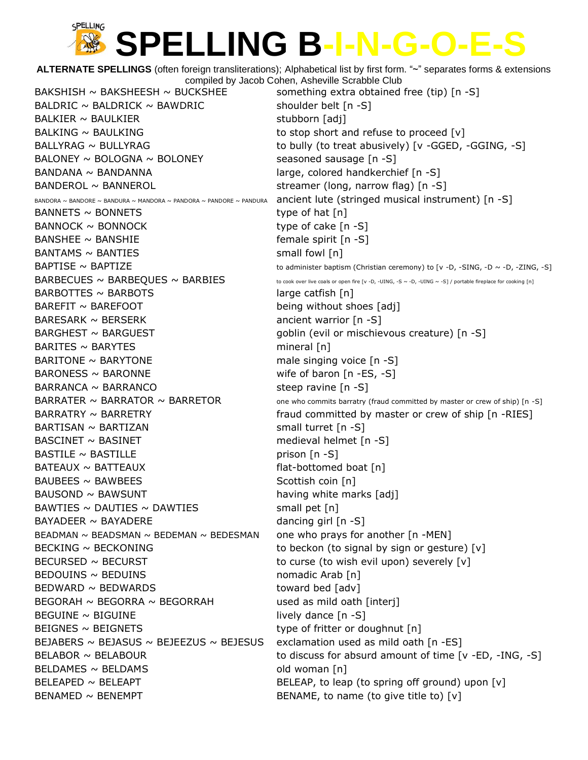**ALTERNATE SPELLINGS** (often foreign transliterations); Alphabetical list by first form. "~" separates forms & extensions compiled by Jacob Cohen, Asheville Scrabble Club BAKSHISH  $\sim$  BAKSHEESH  $\sim$  BUCKSHEE something extra obtained free (tip) [n -S] BALDRIC ~ BALDRICK ~ BAWDRIC shoulder belt  $[n -S]$ BALKIER ~ BAULKIER stubborn [adj] BALKING  $\sim$  BAULKING to stop short and refuse to proceed  $[v]$ BALLYRAG ~ BULLYRAG to bully (to treat abusively) [v -GGED, -GGING, -S] BALONEY  $\sim$  BOLOGNA  $\sim$  BOLONEY seasoned sausage  $[n -S]$ BANDANA ~ BANDANNA large, colored handkerchief [n -S] BANDEROL ~ BANNEROL streamer (long, narrow flag) [n -S] BANDORA ~ BANDORE ~ BANDURA ~ MANDORA ~ PANDORA ~ PANDORE ~ PANDURA ancient lute (stringed musical instrument) [n -S]  $BANNETS \sim BONNETS$  type of hat  $[n]$  $BANNACK \sim BONNACK$  type of cake  $[n-S]$ BANSHEE ~ BANSHIE  $\sim$  BANSHIE  $BANTAMS \sim BANTIES$  small fowl [n]  $BAPTISE \sim BAPTIZE$  to administer baptism (Christian ceremony) to  $[v -D, -SING, -D \sim -D, -ZING, -S]$  $\mathsf{BARBECUES} \sim \mathsf{BARBEQUES} \sim \mathsf{BARBIES}$  to cook over live coals or open fire [v -D, -UING, -S ~ -D, -UING ~ -S] / portable fireplace for cooking [n]  $BARBOTTES \sim BARBOTS$  large catfish  $[n]$  $BAREFIT \sim BAREFOOT$  being without shoes [adj]  $BARESARK \sim BERSERK$  ancient warrior  $[n -S]$ BARGHEST ~ BARGUEST extending the state of poblin (evil or mischievous creature) [n -S]  $BARITES ~ A RAYTES$  mineral [n]  $BARITONE \sim BARYTONE$  male singing voice  $[n -S]$  $BARONES \sim BARONNE$  wife of baron  $[n - ES, -S]$  $BARRANCA \sim BARRANCO$  steep ravine  $[n -S]$ BARRATER  $\sim$  BARRATOR  $\sim$  BARRETOR one who commits barratry (fraud committed by master or crew of ship) [n -S] BARRATRY ~ BARRETRY **the substituted by master or crew of ship** [n -RIES]  $BARTISAN \sim BARTIZAN$  small turret  $[n -S]$ BASCINET ~ BASINET medieval helmet [n -S]  $BASTILE \sim BASTILLE$  prison  $[n-S]$ BATEAUX ~ BATTEAUX flat-bottomed boat [n]  $BAUBEES \sim BAWBEES$  Scottish coin [n]  $B$ AUSOND ~ BAWSUNT having white marks  $[adj]$  $BAWTIES \sim DAUTIES \sim DAWTIES$  small pet [n] BAYADEER ~ BAYADERE dancing girl [n -S] BEADMAN  $\sim$  BEADSMAN  $\sim$  BEDEMAN  $\sim$  BEDESMAN one who prays for another [n -MEN] BECKING  $\sim$  BECKONING  $\sim$  to beckon (to signal by sign or gesture) [v]  $BECURSED \sim BECURST$  to curse (to wish evil upon) severely  $[v]$  $BEDOUINS \sim BEDUINS$  nomadic Arab [n]  $BEDWARD \sim BEDWARDS$  toward bed [adv]  $BEGORAH \sim BEGORRA \sim BEGORRAH$  used as mild oath [interj]  $\text{BEGUINE} \sim \text{BIGUINE}$  lively dance  $[n - S]$ BEIGNES ~ BEIGNETS type of fritter or doughnut [n] BEJABERS ~ BEJASUS ~ BEJEEZUS ~ BEJESUS exclamation used as mild oath  $[n - ES]$ BELABOR  $\sim$  BELABOUR to discuss for absurd amount of time  $\lceil v \cdot \text{ED} \rceil$  -ING, -S] BELDAMES ~ BELDAMS old woman [n] BELEAPED ~ BELEAPT BELEAP BELEAP, to leap (to spring off ground) upon  $[v]$  $BENAMED \sim BENEMPT$  BENAME, to name (to give title to) [v]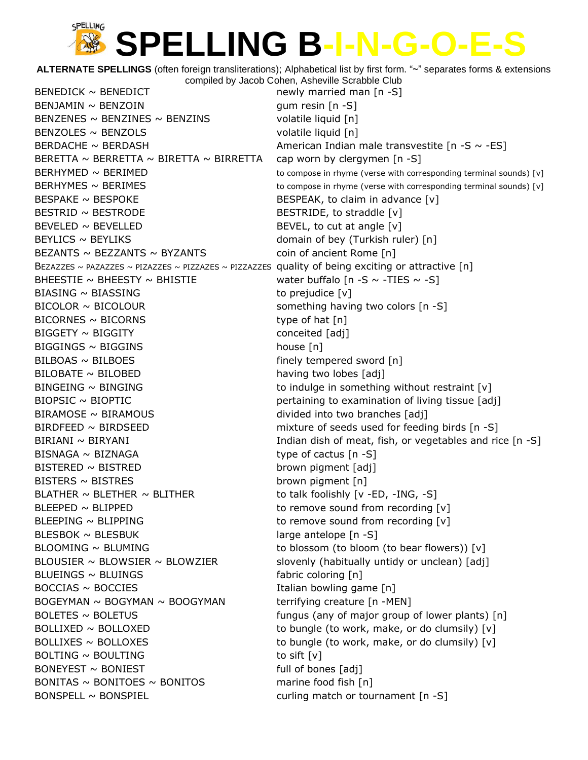**ALTERNATE SPELLINGS** (often foreign transliterations); Alphabetical list by first form. "~" separates forms & extensions compiled by Jacob Cohen, Asheville Scrabble Club

 $BENEDICK \sim BENEDICT$  newly married man [n -S]  $BENJAMIN \sim BENZOIN$  gum resin [n -S] BENZENES  $\sim$  BENZINES  $\sim$  BENZINS volatile liquid [n] BENZOLES ~ BENZOLS volatile liquid [n] BERDACHE ~ BERDASH  $\sim$  80  $\sim$  -ES] BERETTA  $\sim$  BERRETTA  $\sim$  BIRETTA  $\sim$  BIRRETTA cap worn by clergymen [n -S] BERHYMED ~ BERIMED to compose in rhyme (verse with corresponding terminal sounds) [v] BERHYMES  $\sim$  BERIMES  $\sim$  1988) Statement to compose in rhyme (verse with corresponding terminal sounds) [v]  $\text{BESPAKE} \sim \text{BESPOKE}$  BESPEAK, to claim in advance  $[v]$ BESTRID ~ BESTRODE BESTRIDE, to straddle [v]  $BEVELED \sim BEVELLED$  BEVELLED BEVEL, to cut at angle  $[v]$ BEYLICS ~ BEYLIKS domain of bey (Turkish ruler) [n] BEZANTS  $\sim$  BEZZANTS  $\sim$  BYZANTS coin of ancient Rome [n] BEZAZZES ~ PAZAZZES ~ PIZAZZES ~ PIZZAZES ~ PIZZAZZES quality of being exciting or attractive  $\lceil n \rceil$ BHEESTIE ~ BHEESTY ~ BHISTIE water buffalo  $[n - S \sim -TIES \sim -S]$  $BIASING \sim BIASING$  to prejudice  $[v]$ BICOLOR ~ BICOLOUR something having two colors [n -S]  $BICORNES \sim BICORNS$  type of hat  $[n]$  $BIGGETY \sim BIGGITY$  conceited [adj] BIGGINGS ~ BIGGINS house [n]  $BILBOAS \sim BILBOES$  finely tempered sword  $[n]$  $BIOBATE \sim BICOBED$  having two lobes  $[adj]$ BINGEING  $\sim$  BINGING  $\sim$  to indulge in something without restraint [v] BIOPSIC ~ BIOPTIC pertaining to examination of living tissue [adj] BIRAMOSE ~ BIRAMOUS divided into two branches [adj] BIRDFEED ~ BIRDSEED mixture of seeds used for feeding birds [n -S] BIRIANI ~ BIRYANI  $\sim$  BIRYANI  $\sim$  Fig. 3.1 and  $\sim$  5.1 and  $\sim$  5.1 and  $\sim$  5.1 and  $\sim$  5.1 and  $\sim$  5.1 and  $\sim$  5.1 and  $\sim$  5.1 and  $\sim$  5.1 and  $\sim$  5.1 and  $\sim$  5.1 and  $\sim$  5.1 and  $\sim$  5.1 and  $\sim$  5.1 and  $\sim$  $BISNAGA \sim BIZNAGA$  type of cactus  $[n -S]$ BISTERED ~ BISTRED brown pigment [adj]  $BISTERS \sim BISTRES$  brown pigment  $[n]$ BLATHER  $\sim$  BLETHER  $\sim$  BLITHER  $\sim$  ELITHER to talk foolishly [v -ED, -ING, -S] BLEEPED ~ BLIPPED to remove sound from recording [v] BLEEPING ~ BLIPPING to remove sound from recording [v] BLESBOK ~ BLESBUK large antelope [n -S] BLOOMING ~ BLUMING to blossom (to bloom (to bear flowers)) [v] BLOUSIER  $\sim$  BLOWSIER  $\sim$  BLOWZIER slovenly (habitually untidy or unclean) [adj]  $B$ LUEINGS ~ BLUINGS  $\sim$  Fabric coloring [n]  $BOCCIAS \sim BOCCIES$  Italian bowling game  $[n]$  $BOGEYMAN \sim BOGYMAN \sim BOOGYMAN$  terrifying creature  $[n - MEN]$  $BOLETES \sim BOLETUS$  fungus (any of major group of lower plants) [n] BOLLIXED  $\sim$  BOLLOXED to bungle (to work, make, or do clumsily) [v]  $BOLLIXES \sim BOLLOXES$  to bungle (to work, make, or do clumsily) [v]  $BOLTING \sim BOUTING$  to sift  $[v]$  $BONEYEST \sim BONIEST$  full of bones [adj] BONITAS ~ BONITOES ~ BONITOS marine food fish  $[n]$ BONSPELL ~ BONSPIEL **butter curling match or tournament** [n -S]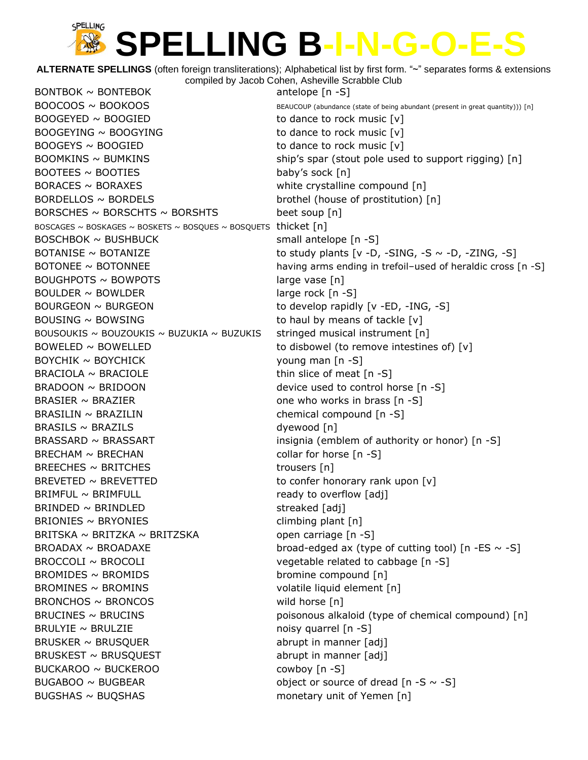**ALTERNATE SPELLINGS** (often foreign transliterations); Alphabetical list by first form. "~" separates forms & extensions compiled by Jacob Cohen, Asheville Scrabble Club

 $BONTBOK \sim BONTEBOK$  antelope  $[n -S]$  $BOOCOOS \sim BOOKOOS$   $\sim$  BOOKOOS  $BOOGEYED \sim BOOGIED$  to dance to rock music  $[v]$  $BOOGEYING \sim BOOGYING$  to dance to rock music  $[v]$  $BOOGEYS \sim BOOGIED$  to dance to rock music  $[v]$  $BOOTEES \sim BOOTIES$  baby's sock  $[n]$ BORACES ~ BORAXES white crystalline compound [n] BORDELLOS ~ BORDELS brothel (house of prostitution) [n] BORSCHES  $\sim$  BORSCHTS  $\sim$  BORSHTS beet soup [n] BOSCAGES ~ BOSKAGES ~ BOSKETS ~ BOSQUES ~ BOSQUETS thicket  $[n]$ BOSCHBOK ~ BUSHBUCK small antelope [n -S]  $BOUGHPOTS \sim BOWPOTS$  large vase [n]  $BOULDER \sim BOWLDER$  large rock  $[n -S]$ BOURGEON ~ BURGEON to develop rapidly [v -ED, -ING, -S] BOUSING  $\sim$  BOWSING to haul by means of tackle  $[v]$ BOUSOUKIS ~ BOUZOUKIS ~ BUZUKIA ~ BUZUKIS stringed musical instrument  $[n]$ BOWELED  $\sim$  BOWELLED to disbowel (to remove intestines of) [v]  $BOYCHIK \sim BOYCHICK$  young man [n -S]  $BRACIOLA \sim BRACIOLE$  thin slice of meat  $[n -S]$ BRADOON ~ BRIDOON device used to control horse [n -S] BRASIER  $\sim$  BRAZIER  $\sim$  6 BRAZIER one who works in brass [n -S]  $BRASILIN \sim BRAZILIN$  chemical compound  $[n -S]$ BRASILS ~ BRAZILS dyewood [n] BRASSARD  $\sim$  BRASSART insignia (emblem of authority or honor)  $[n -S]$  $BRECHAM \sim BRECHAN$  collar for horse  $[n -S]$  $BREECHES \sim BRITCHES$  trousers [n] BREVETED  $\sim$  BREVETTED to confer honorary rank upon  $[v]$  $BRIMFUL \sim BRIMFULL$  ready to overflow  $[adj]$  $BRINDER \sim BRINDER$  $BRIONIES \sim BRYONIES$  climbing plant [n] BRITSKA ~ BRITZKA ~ BRITZSKA  $\sim$  600 m carriage [n -S] BROCCOLI ~ BROCOLI entertainment of the vegetable related to cabbage [n -S]  $BROMIDES ~ BROMIDS$  bromine compound [n] BROMINES ~ BROMINS volatile liquid element [n] BRONCHOS ~ BRONCOS wild horse [n]  $BRULYIE \sim BRULZIE$  noisy quarrel  $[n-S]$ BRUSKER ~ BRUSQUER abrupt in manner [adj] BRUSKEST ~ BRUSQUEST abrupt in manner [adj] BUCKAROO ~ BUCKEROO cowboy [n -S] BUGABOO ~ BUGBEAR object or source of dread  $[n - S \sim -S]$ BUGSHAS ~ BUQSHAS monetary unit of Yemen [n]

 $B O O M KINS \sim B U M KINS$  ship's spar (stout pole used to support rigging) [n] BOTANISE  $\sim$  BOTANIZE to study plants  $[v -D, -SING, -S \sim -D, -ZING, -S]$ BOTONEE ~ BOTONNEE having arms ending in trefoil-used of heraldic cross [n -S]  $BROADAX \sim BROADAXE$  broad-edged ax (type of cutting tool) [n -ES  $\sim$  -S] BRUCINES ~ BRUCINS poisonous alkaloid (type of chemical compound) [n]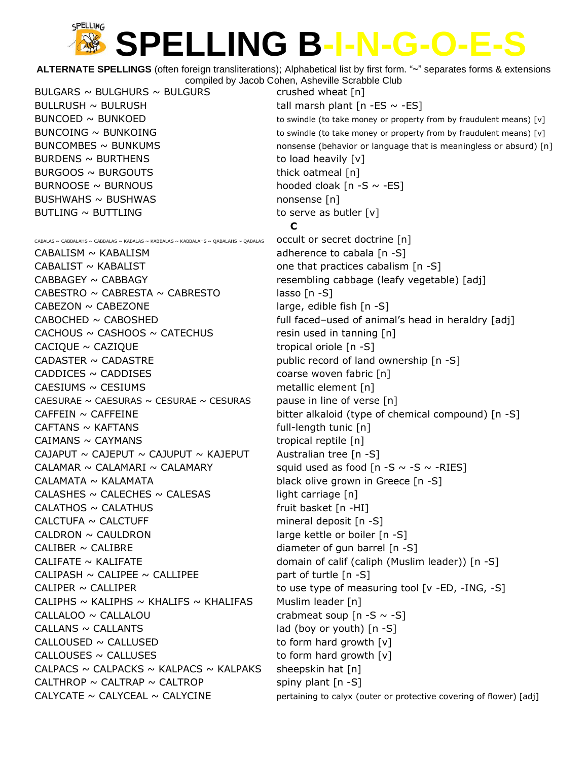**ALTERNATE SPELLINGS** (often foreign transliterations); Alphabetical list by first form. "~" separates forms & extensions compiled by Jacob Cohen, Asheville Scrabble Club

BULGARS  $\sim$  BULGHURS  $\sim$  BULGURS crushed wheat [n] BULLRUSH  $\sim$  BULRUSH tall marsh plant  $[n - ES \sim -ES]$ BURDENS  $\sim$  BURTHENS to load heavily  $[v]$  $BURGOOS \sim BURGOUTS$  thick oatmeal [n] BURNOOSE  $\sim$  BURNOUS hooded cloak [n -S  $\sim$  -ES] BUSHWAHS ~ BUSHWAS nonsense [n]  $BUTLING \sim BUTTLING$  to serve as butler  $[v]$ 

CABALAS ~ CABBALAHS ~ CABBALAS ~ KABALAS ~ KABBALAS ~ KABBALAHS ~ QABALAHS ~ QABALAS **occult or secret doctrine**  $\lceil n \rceil$ 

CABALIST  $\sim$  KABALIST cabalism [n -S] CABBAGEY ~ CABBAGY resembling cabbage (leafy vegetable) [adj] CABESTRO  $\sim$  CABRESTA  $\sim$  CABRESTO lasso [n -S]  $CABEZON \sim CABEZONE$  large, edible fish  $[n -S]$  $CACHOUS \sim CASHOOS \sim CATECHUS$  resin used in tanning  $[n]$ CACIQUE ~ CAZIQUE tropical oriole [n -S] CADASTER  $\sim$  CADASTRE public record of land ownership [n -S]  $CADDICES \sim CADDISES$  coarse woven fabric  $[n]$ CAESIUMS ~ CESIUMS metallic element [n] CAESURAE ~ CAESURAS ~ CESURAE ~ CESURAS pause in line of verse  $[n]$  $CAFTANS \sim KAFTANS$  full-length tunic  $[n]$  $CAIMANS \sim CAYMANS$  (2004)  $CAINANS$  (2005)  $CAINANS$  (2015)  $CAINANS$  (2015)  $CAINANS$ CAJAPUT  $\sim$  CAJEPUT  $\sim$  CAJUPUT  $\sim$  KAJEPUT Australian tree [n -S] CALAMAR  $\sim$  CALAMARI  $\sim$  CALAMARY squid used as food [n -S  $\sim$  -S  $\sim$  -RIES] CALAMATA ~ KALAMATA black olive grown in Greece [n -S] CALASHES  $\sim$  CALECHES  $\sim$  CALESAS light carriage [n]  $CALATHOS \sim CALATHUS$  fruit basket [n -HI]  $CALCTUFA \sim CALCTUFF$  mineral deposit  $[n -S]$ CALDRON  $\sim$  CAULDRON large kettle or boiler  $[n -S]$ CALIBER  $\sim$  CALIBRE diameter of gun barrel  $[n - S]$ CALIFATE ~ KALIFATE domain of calif (caliph (Muslim leader)) [n -S] CALIPASH  $\sim$  CALIPEE  $\sim$  CALLIPEE part of turtle [n -S] CALIPER  $\sim$  CALLIPER  $\sim$  CALLIPER to use type of measuring tool [v -ED, -ING, -S] CALIPHS  $\sim$  KALIPHS  $\sim$  KHALIFS  $\sim$  KHALIFAS Muslim leader [n]  $CALLALOO \sim CALLALOU$  crabmeat soup  $[n-S \sim -S]$  $CALLANS \sim CALLANTS$  lad (boy or youth)  $[n -S]$  $CALLOUSED \sim CALLUSED$  to form hard growth  $[v]$  $CALLOUSES \sim CALLUSES$  to form hard growth  $[v]$ CALPACS ~ CALPACKS ~ KALPACS ~ KALPAKS sheepskin hat  $[n]$ CALTHROP  $\sim$  CALTRAP  $\sim$  CALTROP spiny plant [n -S]

BUNCOED  $\sim$  BUNKOED  $\sim$  BUNKOED to swindle (to take money or property from by fraudulent means) [v]  $\mathsf{BUNCOING} \sim \mathsf{BUNKOING}$  to swindle (to take money or property from by fraudulent means) [v]  $\text{BUNCOMBES} \sim \text{BUNKUMS}$  nonsense (behavior or language that is meaningless or absurd) [n] **C** CABALISM  $\sim$  KABALISM  $\sim$  FABALISM adherence to cabala [n -S]  $CABOCHED \sim CABOSHED$  full faced-used of animal's head in heraldry [adj]  $CAFFEIN \sim CAFFEINE$  bitter alkaloid (type of chemical compound) [n -S] CALYCATE  $\sim$  CALYCEAL  $\sim$  CALYCINE pertaining to calyx (outer or protective covering of flower) [adj]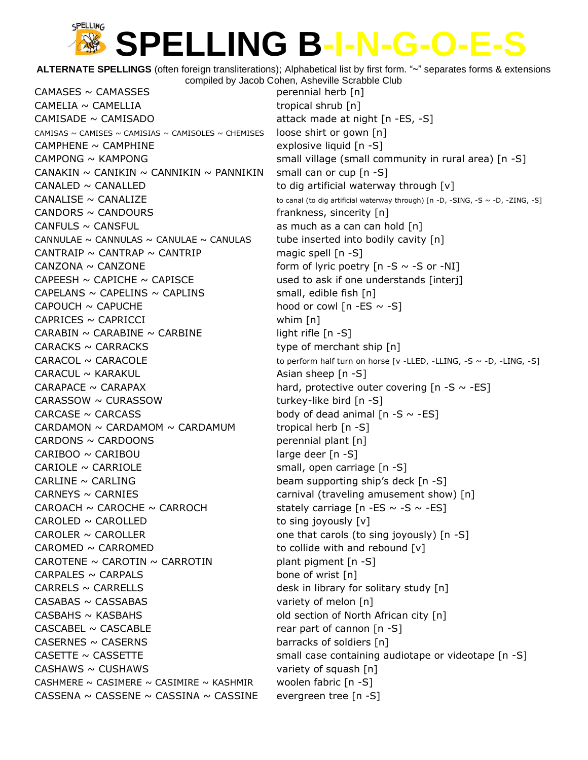**ALTERNATE SPELLINGS** (often foreign transliterations); Alphabetical list by first form. "~" separates forms & extensions compiled by Jacob Cohen, Asheville Scrabble Club

 $CAMASES \sim CAMASSES$  perennial herb  $[n]$  $CAMELIA \sim CAMELLIA$  tropical shrub  $[n]$  $CAMISADE \sim CAMISADO$  attack made at night  $[n - ES, -S]$ CAMISAS ~ CAMISES ~ CAMISIAS ~ CAMISOLES ~ CHEMISES loose shirt or gown  $\lceil n \rceil$  $CAMPLENE \sim CAMPLINE$  explosive liquid  $[n -S]$ CANAKIN  $\sim$  CANIKIN  $\sim$  CANNIKIN  $\sim$  PANNIKIN small can or cup [n -S] CANALED  $\sim$  CANALLED to dig artificial waterway through  $[v]$  $CANDORS \sim CANDOLRS$  frankness, sincerity [n] CANFULS  $\sim$  CANSFUL as much as a can can hold [n] CANNULAE  $\sim$  CANNULAS  $\sim$  CANULAE  $\sim$  CANULAS tube inserted into bodily cavity [n] CANTRAIP  $\sim$  CANTRAP  $\sim$  CANTRIP magic spell [n -S] CANZONA  $\sim$  CANZONE form of lyric poetry  $[n - S \sim -S$  or  $-NI]$ CAPEESH  $\sim$  CAPICHE  $\sim$  CAPISCE used to ask if one understands [interj]  $CAPELANS \sim CAPELINS \sim CAPLINS$  small, edible fish  $[n]$ CAPOUCH  $\sim$  CAPUCHE hood or cowl [n -ES  $\sim$  -S]  $CAPRICES \sim CAPRICCI$  whim [n]  $CARABIN \sim CARABINE \sim CARBINE$  light rifle [n -S]  $CARACKS \sim CARACKS$  type of merchant ship  $[n]$  $CARACUL \sim KARAKUL$  Asian sheep [n -S] CARAPACE  $\sim$  CARAPAX hard, protective outer covering  $[n - S \sim -ES]$  $CARASSOW \sim CURASSOW$  turkey-like bird  $[n -S]$ CARCASE  $\sim$  CARCASS body of dead animal  $[n - S \sim -ES]$  $CARDAMON \sim CARDAMOM \sim CARDAMUM$  tropical herb [n -S]  $CARDONS \sim CARDOONS$  perennial plant  $[n]$  $CARIBOO \sim CARIBOU$  large deer  $[n -S]$ CARIOLE  $\sim$  CARRIOLE small, open carriage  $[n -S]$ CARLINE  $\sim$  CARLING beam supporting ship's deck  $[n - S]$  $CARNEYS \sim CARNIES$  carnival (traveling amusement show) [n] CAROACH  $\sim$  CAROCHE  $\sim$  CARROCH stately carriage [n -ES  $\sim$  -S  $\sim$  -ES]  $CAROLED \sim CAROLLED$  to sing joyously  $[v]$  $CAROLER \sim CAROLLER$  one that carols (to sing joyously)  $[n -S]$  $CAROMED \sim CARROMED$  to collide with and rebound  $[v]$ CAROTENE  $\sim$  CAROTIN  $\sim$  CARROTIN plant pigment [n -S]  $CARPALES \sim CARPALS$  bone of wrist  $[n]$  $CARRELS \sim CARRELLS$  desk in library for solitary study  $[n]$  $CASABAS \sim CASSABAS$  variety of melon  $[n]$  $CASBAHS \sim KASBAHS$  old section of North African city  $[n]$  $CASCABEL \sim CASCABLE$  rear part of cannon  $[n -S]$  $CASERNES \sim CASERNS$  barracks of soldiers [n]  $CASHAWS \sim CUSHAWS$  variety of squash  $[n]$ CASHMERE ~ CASIMERE ~ CASIMIRE ~ KASHMIR woolen fabric  $[n -S]$ CASSENA  $\sim$  CASSENE  $\sim$  CASSINA  $\sim$  CASSINE evergreen tree [n -S]

CAMPONG  $\sim$  KAMPONG small village (small community in rural area)  $\lceil n - S \rceil$ CANALISE  $\sim$  CANALIZE  $\sim$  CANALIZE to canal (to dig artificial waterway through) [n -D, -SING, -S  $\sim$  -D, -ZING, -S]  $CARACOL \sim CARACOLE$  to perform half turn on horse [v -LLED, -LLING, -S ~ -D, -LING, -S] CASETTE  $\sim$  CASSETTE small case containing audiotape or videotape [n -S]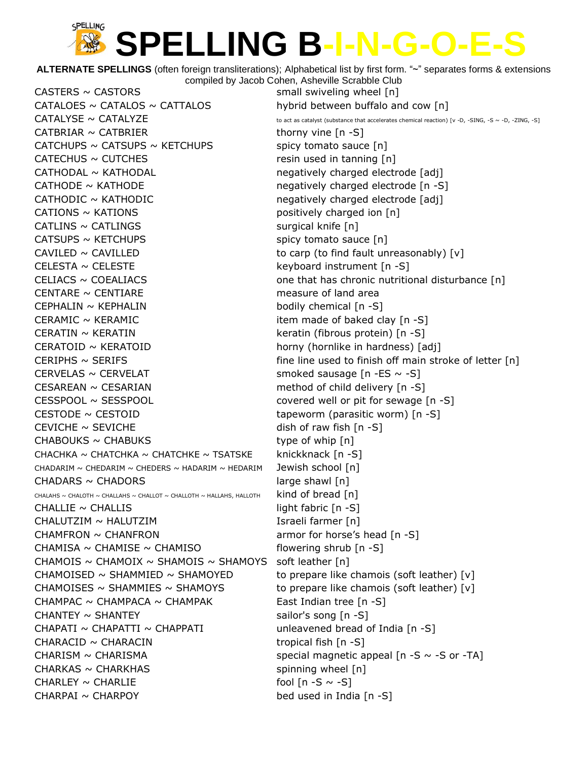**ALTERNATE SPELLINGS** (often foreign transliterations); Alphabetical list by first form. "~" separates forms & extensions compiled by Jacob Cohen, Asheville Scrabble Club

 $CASTERS \sim CASTORS$  small swiveling wheel  $[n]$ CATALOES  $\sim$  CATALOS  $\sim$  CATTALOS hybrid between buffalo and cow [n]  $CATALYSE \sim \text{CATALYZE}$  to act as catalyst (substance that accelerates chemical reaction) [v -D, -SING, -S ~ -D, -ZING, -S]  $CATBRIAR \sim CATBRIER$  thorny vine  $[n -S]$ CATCHUPS  $\sim$  CATSUPS  $\sim$  KETCHUPS spicy tomato sauce [n]  $CATECHUS \sim CUTECHES$  resin used in tanning  $[n]$ CATHODAL ~ KATHODAL 1.1 and negatively charged electrode [adj] CATHODE  $\sim$  KATHODE  $\sim$  6. The negatively charged electrode [n -S] CATHODIC ~ KATHODIC megatively charged electrode [adj]  $CATIONS \sim KATIONS$  exactle to the control of the positively charged ion  $[n]$  $CATLINS \sim CATLINGS$  surgical knife  $[n]$  $CATSUPS \sim KETCHUPS$  spicy tomato sauce  $[n]$ CAVILED  $\sim$  CAVILLED to carp (to find fault unreasonably)  $[v]$ CELESTA  $\sim$  CELESTE  $\sim$  keyboard instrument [n -S] CELIACS  $\sim$  COEALIACS  $\sim$  COEALIACS one that has chronic nutritional disturbance [n]  $CENTARE \sim \text{CENTIARE}$  measure of land area CEPHALIN ~ KEPHALIN bodily chemical [n -S]  $CERAMIC \sim KERAMIC$  item made of baked clay  $[n -S]$ CERATIN ~ KERATIN **EXAMPLE 10** keratin (fibrous protein) [n -S] CERATOID ~ KERATOID **horny** (hornlike in hardness) [adj]  $CERIPHS \sim$  SERIFS fine line used to finish off main stroke of letter  $[n]$ CERVELAS  $\sim$  CERVELAT smoked sausage [n -ES  $\sim$  -S]  $CESAREAN \sim CESARIAN$  method of child delivery  $[n -S]$ CESSPOOL ~ SESSPOOL **covered well or pit for sewage [n** -S] CESTODE ~ CESTOID example that the tapeworm (parasitic worm) [n -S] CEVICHE  $\sim$  SEVICHE dish of raw fish  $[n - S]$  $CHABOUKS \sim CHABUKS$  type of whip  $[n]$ CHACHKA ~ CHATCHKA ~ CHATCHKE ~ TSATSKE knickknack  $[n -S]$ CHADARIM ~ CHEDARIM ~ CHEDERS ~ HADARIM ~ HEDARIM Jewish school  $\lceil n \rceil$  $CHADARS \sim CHADORS$  large shawl  $[n]$ CHALAHS ~ CHALOTH ~ CHALLAHS ~ CHALLOT ~ CHALLOTH ~ HALLAHS, HALLOTH  $\quad$  kind of bread [n]  $CHALLIE \sim CHALLIS$  ight fabric [n -S] CHALUTZIM ~ HALUTZIM Israeli farmer [n]  $CHAMFRON \sim CHANFRON$  armor for horse's head  $[n -S]$ CHAMISA ~ CHAMISE ~ CHAMISO flowering shrub  $[n - S]$ CHAMOIS  $\sim$  CHAMOIX  $\sim$  SHAMOIS  $\sim$  SHAMOYS soft leather [n] CHAMOISED  $\sim$  SHAMMIED  $\sim$  SHAMOYED to prepare like chamois (soft leather) [v] CHAMOISES ~ SHAMMIES ~ SHAMOYS to prepare like chamois (soft leather)  $[v]$ CHAMPAC ~ CHAMPACA ~ CHAMPAK East Indian tree  $[n -S]$ CHANTEY  $\sim$  SHANTEY sailor's song  $[n -S]$ CHAPATI  $\sim$  CHAPATTI  $\sim$  CHAPPATI unleavened bread of India [n -S]  $CHARACID \sim CHARACIN$  tropical fish  $[n-S]$ CHARISM  $\sim$  CHARISMA special magnetic appeal  $[n - S \sim -S$  or  $-TA$ ]  $CHARKAS \sim CHARKHAS$  spinning wheel  $[n]$ CHARLEY  $\sim$  CHARLIE fool  $[n - S \sim -S]$  $CHARPAI \sim CHARPOY$  bed used in India  $[n-S]$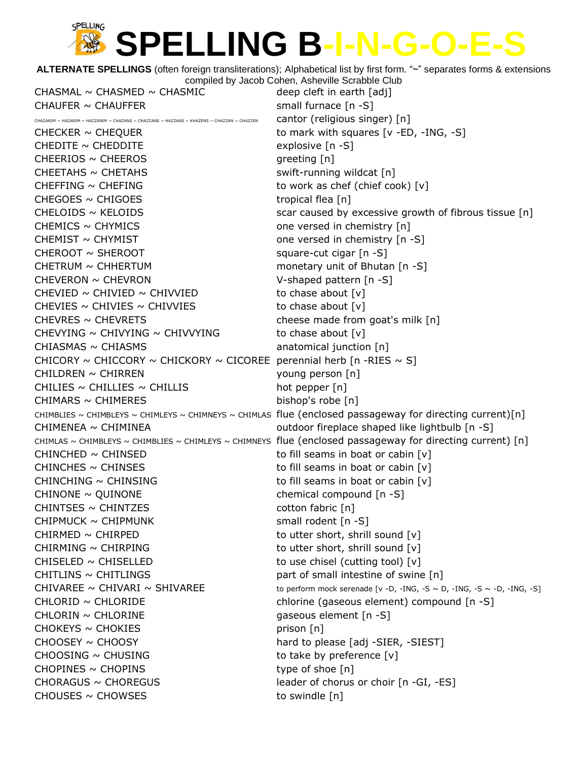**ALTERNATE SPELLINGS** (often foreign transliterations); Alphabetical list by first form. "~" separates forms & extensions compiled by Jacob Cohen, Asheville Scrabble Club

 $CHASMAL \sim CHASMED \sim CHASMIC$  deep cleft in earth  $[adj]$ CHAUFER  $\sim$  CHAUFFER small furnace  $[n -S]$ 

CHAZANIM ~ HAZANIM ~ HAZZANIM ~ CHAZANS ~ CHAZZANS ~ HAZZANS ~ KHAZENS ~ CHAZZAN ~ CHAZZEN cantor (religious singer) [n] CHECKER  $\sim$  CHEQUER to mark with squares [v -ED, -ING, -S]  $CHEDITE \sim CHEDDITE$  explosive [n -S]  $CHEERIOS \sim CHEEROS$  greeting [n] CHEETAHS ~ CHETAHS swift-running wildcat [n]  $CHEFFING \sim CHEFFING$  to work as chef (chief cook)  $[v]$  $CHEGOES \sim CHIGOES$  tropical flea [n]  $CHELOIDS \sim KEDIDS$  excessive growth of fibrous tissue [n]  $CHEMICS \sim CHYMICS$  one versed in chemistry  $[n]$  $CHEMIST \sim CHYMIST$  one versed in chemistry  $[n - S]$  $CHEROOT \sim SHEROOT$  square-cut cigar  $[n -S]$  $CHETRUM \sim CHHERTUM$  monetary unit of Bhutan  $[n -S]$ CHEVERON ~ CHEVRON V-shaped pattern [n -S] CHEVIED  $\sim$  CHIVIED  $\sim$  CHIVVIED to chase about [v] CHEVIES  $\sim$  CHIVIES  $\sim$  CHIVVIES to chase about [v]  $CHEVRES \sim CHEVRETS$  chesse made from goat's milk  $[n]$ CHEVYING  $\sim$  CHIVYING  $\sim$  CHIVVYING to chase about [v]  $CHIASMAS \sim CHIAS MS$  anatomical junction  $[n]$ CHICORY  $\sim$  CHICCORY  $\sim$  CHICKORY  $\sim$  CICOREE perennial herb [n -RIES  $\sim$  S]  $CHILDREN \sim CHIRREN$  young person [n] CHILIES  $\sim$  CHILLIES  $\sim$  CHILLIS hot pepper [n]  $CHIMARS \sim CHIMERES$  bishop's robe  $[n]$ CHIMBLIES ~ CHIMBLEYS ~ CHIMLEYS ~ CHIMNEYS ~ CHIMLAS flue (enclosed passageway for directing current)[n] CHIMENEA ~ CHIMINEA outdoor fireplace shaped like lightbulb [n -S] CHIMLAS  $\sim$  CHIMBLEYS  $\sim$  CHIMBLIES  $\sim$  CHIMLEYS  $\sim$  CHIMNEYS flue (enclosed passageway for directing current) [n]  $CHINCHED \sim CHINSED$  to fill seams in boat or cabin  $[v]$  $CHINCHES \sim CHINSES$  to fill seams in boat or cabin  $[v]$ CHINCHING  $\sim$  CHINSING to fill seams in boat or cabin  $[v]$  $CHINONE \sim QUINONE$  chemical compound  $[n -S]$ CHINTSES ~ CHINTZES cotton fabric [n]  $CHIPMuck \sim CHIPMUNK$  small rodent [n -S]  $CHIRMED \sim CHIRPED$  to utter short, shrill sound  $[v]$  $CHIRMING \sim CHIRPING$  to utter short, shrill sound  $[v]$ CHISELED  $\sim$  CHISELLED to use chisel (cutting tool) [v]  $CHITLINS \sim CHITLINGS$  part of small intestine of swine  $[n]$ CHIVAREE  $\sim$  CHIVARI  $\sim$  SHIVAREE to perform mock serenade [v -D, -ING, -S  $\sim$  D, -ING, -S  $\sim$  -D, -ING, -S] CHLORID ~ CHLORIDE chlorine (gaseous element) compound [n -S]  $CHLORIN \sim CHLORINE$  gaseous element  $[n-S]$  $CHOKEYS \sim CHOKIES$  prison [n] CHOOSEY ~ CHOOSY hard to please [adj -SIER, -SIEST]  $CHOOSING \sim CHUSING$  to take by preference  $[v]$  $CHOPINES \sim CHOPINS$  type of shoe  $[n]$  $CHORAGUS \sim CHOREGUS$  eader of chorus or choir  $[n -GI, -ES]$  $CHOUSES \sim CHOWSES$  to swindle  $[n]$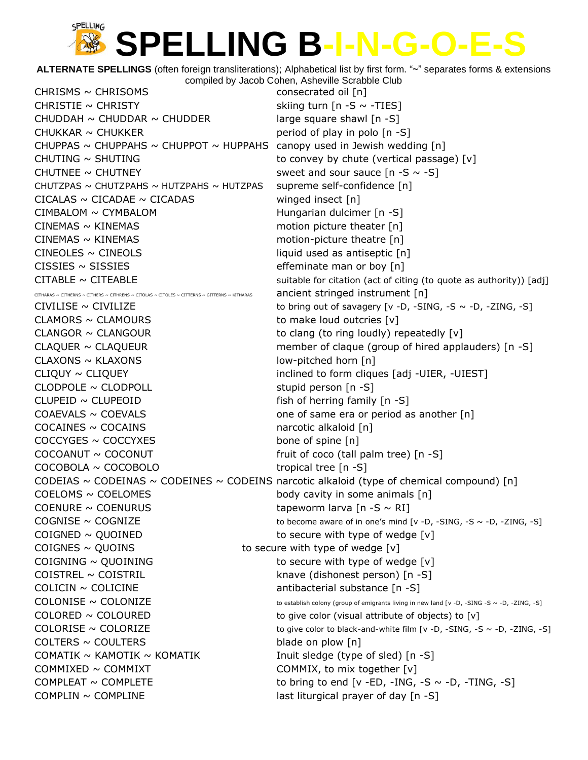**ALTERNATE SPELLINGS** (often foreign transliterations); Alphabetical list by first form. "~" separates forms & extensions

| compiled by Jacob Cohen, Asheville Scrabble Club                                              |                                                                                                  |
|-----------------------------------------------------------------------------------------------|--------------------------------------------------------------------------------------------------|
| CHRISMS $\sim$ CHRISOMS                                                                       | consecrated oil [n]                                                                              |
| CHRISTIE $\sim$ CHRISTY                                                                       | skiing turn $[n - S \sim -TIES]$                                                                 |
| CHUDDAH $\sim$ CHUDDAR $\sim$ CHUDDER                                                         | large square shawl [n -S]                                                                        |
| CHUKKAR $\sim$ CHUKKER                                                                        | period of play in polo [n -S]                                                                    |
| CHUPPAS ~ CHUPPAHS ~ CHUPPOT ~ HUPPAHS canopy used in Jewish wedding [n]                      |                                                                                                  |
| CHUTING ∼ SHUTING                                                                             | to convey by chute (vertical passage) [v]                                                        |
| CHUTNEE $\sim$ CHUTNEY                                                                        | sweet and sour sauce $[n - S \sim -S]$                                                           |
| CHUTZPAS ~ CHUTZPAHS ~ HUTZPAHS ~ HUTZPAS                                                     | supreme self-confidence [n]                                                                      |
| $CICALAS \sim CICADAE \sim CICADAS$                                                           | winged insect [n]                                                                                |
| CIMBALOM ~ CYMBALOM                                                                           | Hungarian dulcimer [n -S]                                                                        |
| $CINEMAS \sim KINEMAS$                                                                        | motion picture theater [n]                                                                       |
| $CINEMAS \sim KINEMAS$                                                                        | motion-picture theatre [n]                                                                       |
| CINEOLES $\sim$ CINEOLS                                                                       | liquid used as antiseptic [n]                                                                    |
| CISSIES $\sim$ SISSIES                                                                        | effeminate man or boy [n]                                                                        |
| $CITABLE \sim CITEABLE$                                                                       | suitable for citation (act of citing (to quote as authority)) [adj]                              |
| CITHARAS ~ CITHERNS ~ CITHERS ~ CITHRENS ~ CITOLAS ~ CITOLES ~ CITTERNS ~ GITTERNS ~ KITHARAS | ancient stringed instrument [n]                                                                  |
| $CIVILISE \sim CIVILIZE$                                                                      | to bring out of savagery [v -D, -SING, -S $\sim$ -D, -ZING, -S]                                  |
| CLAMORS $\sim$ CLAMOURS                                                                       | to make loud outcries [v]                                                                        |
| CLANGOR $\sim$ CLANGOUR                                                                       | to clang (to ring loudly) repeatedly [v]                                                         |
| CLAQUER $\sim$ CLAQUEUR                                                                       | member of claque (group of hired applauders) [n -S]                                              |
| CLAXONS ∼ KLAXONS                                                                             | low-pitched horn [n]                                                                             |
| CLIQUY $\sim$ CLIQUEY                                                                         | inclined to form cliques [adj -UIER, -UIEST]                                                     |
| CLODPOLE $\sim$ CLODPOLL                                                                      | stupid person [n -S]                                                                             |
| $CLUPEID \sim CLUPEOID$                                                                       | fish of herring family [n -S]                                                                    |
| COAEVALS $\sim$ COEVALS                                                                       | one of same era or period as another [n]                                                         |
| COCAINES $\sim$ COCAINS                                                                       | narcotic alkaloid [n]                                                                            |
| $COCCYGES \sim COCCYXES$                                                                      | bone of spine [n]                                                                                |
| $COCOANUT \sim COCONUT$                                                                       | fruit of coco (tall palm tree) [n -S]                                                            |
| COCOBOLA ~ COCOBOLO                                                                           | tropical tree [n -S]                                                                             |
|                                                                                               | CODEIAS ~ CODEINAS ~ CODEINES ~ CODEINS narcotic alkaloid (type of chemical compound) [n]        |
| COELOMS $\sim$ COELOMES                                                                       | body cavity in some animals [n]                                                                  |
| COENURE $\sim$ COENURUS                                                                       | tapeworm larva [n -S $\sim$ RI]                                                                  |
| COGNISE $\sim$ COGNIZE                                                                        | to become aware of in one's mind [v -D, -SING, -S $\sim$ -D, -ZING, -S]                          |
| $COIGNED \sim QUOINED$                                                                        | to secure with type of wedge [v]                                                                 |
| COIGNES $\sim$ QUOINS                                                                         | to secure with type of wedge [v]                                                                 |
| COIGNING $\sim$ QUOINING                                                                      | to secure with type of wedge [v]                                                                 |
| COISTREL ~ COISTRIL                                                                           | knave (dishonest person) [n -S]                                                                  |
| COLICIN $\sim$ COLICINE                                                                       | antibacterial substance [n -S]                                                                   |
| COLONISE ~ COLONIZE                                                                           | to establish colony (group of emigrants living in new land [v -D, -SING -S $\sim$ -D, -ZING, -S] |
| $COLORED \sim COLOURED$                                                                       | to give color (visual attribute of objects) to [v]                                               |
| $COLORISE \sim COLORIZE$                                                                      | to give color to black-and-white film [v -D, -SING, -S $\sim$ -D, -ZING, -S]                     |
| COLTERS $\sim$ COULTERS                                                                       | blade on plow [n]                                                                                |
| COMATIK $\sim$ KAMOTIK $\sim$ KOMATIK                                                         | Inuit sledge (type of sled) [n -S]                                                               |
| COMMIXED $\sim$ COMMIXT                                                                       | COMMIX, to mix together [v]                                                                      |
| COMPLEAT $\sim$ COMPLETE                                                                      | to bring to end [v -ED, -ING, -S $\sim$ -D, -TING, -S]                                           |
| COMPLIN $\sim$ COMPLINE                                                                       | last liturgical prayer of day [n -S]                                                             |
|                                                                                               |                                                                                                  |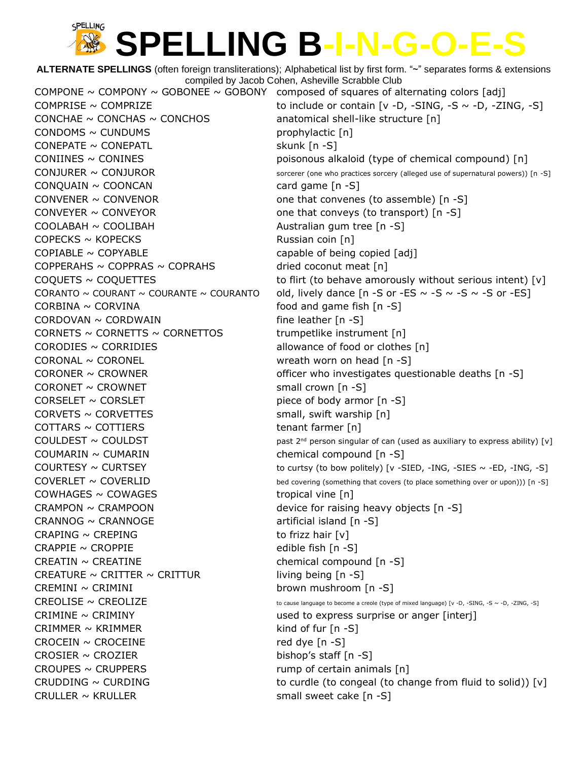**ALTERNATE SPELLINGS** (often foreign transliterations); Alphabetical list by first form. "~" separates forms & extensions compiled by Jacob Cohen, Asheville Scrabble Club COMPONE  $\sim$  COMPONY  $\sim$  GOBONEE  $\sim$  GOBONY composed of squares of alternating colors [adj] COMPRISE ~ COMPRIZE to include or contain  $[v -D, -SING, -S \sim -D, -ZING, -S]$ CONCHAE  $\sim$  CONCHAS  $\sim$  CONCHOS anatomical shell-like structure [n]  $COMDOMS \sim \text{CUNDUMS}$  prophylactic  $[n]$  $CONFATE \sim CONEPATL$  skunk  $[n -S]$  $COMINES \sim CONINES$  poisonous alkaloid (type of chemical compound) [n]  $COMJURER \sim CONJUROR$  sorcerer (one who practices sorcery (alleged use of supernatural powers)) [n -S]  $COMQUAIN \sim COONCAN$  card game  $[n -S]$ CONVENER  $\sim$  CONVENOR one that convenes (to assemble) [n -S] CONVEYER  $\sim$  CONVEYOR converse (to transport) [n -S] COOLABAH ~ COOLIBAH **Australian gum tree** [n -S]  $COPECKS \sim KOPECKS$  Russian coin [n]  $\text{COPIABLE} \sim \text{COPYABLE}$  capable of being copied [adj]  $COPPERAHS \sim COPPRAS \sim COPRAHS$  dried coconut meat [n]  $COQUETS \sim COQUETTES$  to flirt (to behave amorously without serious intent) [v] CORANTO ~ COURANT ~ COURANTE ~ COURANTO old, lively dance  $[n -S$  or -ES ~ -S ~ -S or -ES]  $CORBINA \sim CORVINA$  food and game fish  $[n -S]$  $CORDOVAN \sim CORDWAIN$  fine leather  $[n-S]$ CORNETS  $\sim$  CORNETTS  $\sim$  CORNETTOS trumpetlike instrument [n]  $CORODIES \sim CORRIDIES$  allowance of food or clothes  $[n]$ CORONAL ~ CORONEL wreath worn on head [n -S] CORONER  $\sim$  CROWNER  $\sim$  CROWNER officer who investigates questionable deaths [n -S]  $CORONET \sim CROWNET$  small crown [n -S]  $CORSELET \sim CORSLET$  piece of body armor  $[n -S]$  $CORVETS \sim CORVETTES$  small, swift warship  $[n]$  $COTTARS \sim COTTIERS$  tenant farmer [n] COULDEST ~ COULDST **past 2<sup>nd</sup>** person singular of can (used as auxiliary to express ability) [v]  $C$ OUMARIN ~ CUMARIN chemical compound  $[n -S]$  $\text{COUNTESY} \sim \text{CURTSEY}$  to curtsy (to bow politely) [v -SIED, -ING, -SIES  $\sim$  -ED, -ING, -S]  $\text{COVERLET} \sim \text{COVERLID}$  bed covering (something that covers (to place something over or upon))) [n -S]  $COMHAGES \sim \text{COWAGES}$   $\sim$  COWAGES tropical vine [n] CRAMPON  $\sim$  CRAMPOON device for raising heavy objects  $[n -S]$  $CRANNOG \sim CRANNOGE$  artificial island [n -S] CRAPING  $\sim$  CREPING to frizz hair  $[v]$  $CRAPPIE \sim CROPPIE$  edible fish  $\lceil n - S \rceil$  $CREATIN \sim CREATINE$  chemical compound  $[n -S]$ CREATURE  $\sim$  CRITTER  $\sim$  CRITTUR living being [n -S] CREMINI ~ CRIMINI brown mushroom [n -S]  $CREDLISE \sim CREDLIZE$  to cause language to become a creole (type of mixed language) [v -D, -SING, -S ~ -D, -ZING, -S]  $CRIMINE \sim CRIMINY$  and to express surprise or anger [interj] CRIMMER  $\sim$  KRIMMER kind of fur [n -S]  $CROCEIN \sim CROCEINE$  red dye  $[n - S]$ CROSIER  $\sim$  CROZIER bishop's staff  $[n -S]$  $CROUPES \sim CRUPPERS$  rump of certain animals  $[n]$ CRUDDING  $\sim$  CURDING  $\sim$  CURDING to curdle (to congeal (to change from fluid to solid)) [v] CRULLER  $\sim$  KRULLER  $\sim$  Small sweet cake [n -S]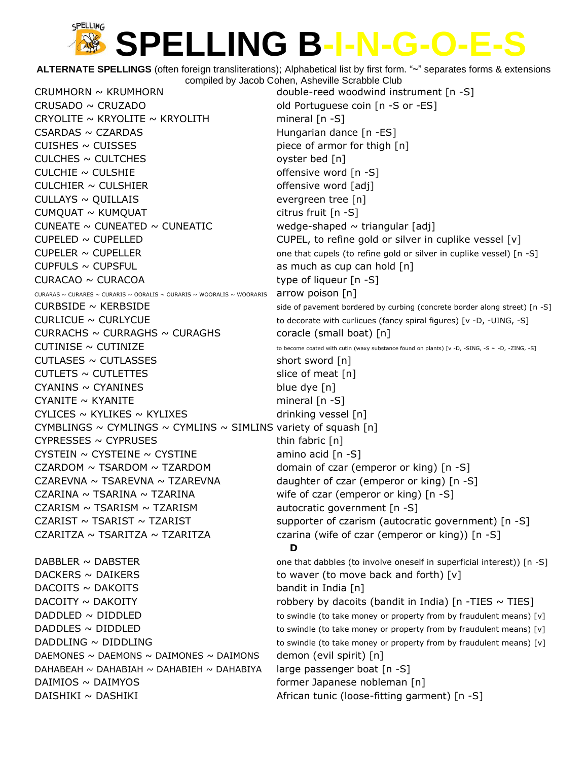**ALTERNATE SPELLINGS** (often foreign transliterations); Alphabetical list by first form. "~" separates forms & extensions compiled by Jacob Cohen, Asheville Scrabble Club

CRUMHORN ~ KRUMHORN double-reed woodwind instrument [n -S] CRUSADO ~ CRUZADO **calculates** old Portuguese coin [n -S or -ES] CRYOLITE  $\sim$  KRYOLITE  $\sim$  KRYOLITH mineral [n -S] CSARDAS ~ CZARDAS Hungarian dance [n -ES]  $CUISHES \sim CUISSES$  piece of armor for thigh  $[n]$  $CULCHES \sim CULTCHES$  oyster bed [n]  $CULCHIE \sim CULSHIE$  offensive word [n -S]  $CULCHIER \sim CULSHIER$  offensive word [adj]  $CULLAYS \sim QUILLAIS$  evergreen tree [n]  $CUMOUAT \sim KUMOUAT$  citrus fruit  $[n -S]$ CUNEATE  $\sim$  CUNEATED  $\sim$  CUNEATIC wedge-shaped  $\sim$  triangular [adj]  $CUPELED \sim CUPELLED$   $CUPELLED$   $CUPELL$ , to refine gold or silver in cuplike vessel [v]  $CUPELER \sim CUPELLER$  one that cupels (to refine gold or silver in cuplike vessel) [n -S]  $CUPFULS \sim CUPSFUL$  as much as cup can hold  $[n]$  $CURACAO \sim CURACOA$  type of liqueur  $[n - S]$ CURARAS ~ CURARES ~ CURARIS ~ OORALIS ~ OURARIS ~ WOORALIS ~ WOORARIS arrow poison  $[n]$  $CURBSIDE \sim KERBSIDE$  side of pavement bordered by curbing (concrete border along street) [n -S] CURLICUE ~ CURLYCUE  $\sim$  CURLYCUE to decorate with curlicues (fancy spiral figures) [v -D, -UING, -S] CURRACHS  $\sim$  CURRAGHS  $\sim$  CURAGHS coracle (small boat) [n]  $CUTINISE \sim CUTINIZE$  to become coated with cutin (waxy substance found on plants) [v -D, -SING, -S ~ -D, -ZING, -S]  $CUTLASES \sim CUTLASSES$  short sword [n]  $CUTLETS \sim CUTLETTES$  slice of meat  $[n]$  $CYANINS \sim CYANINES$  blue dye  $[n]$  $CYANITE \sim KYANITE$  mineral  $[n -S]$  $CYLICES \sim KYLIKES \sim KYLIXES$  drinking vessel [n] CYMBLINGS  $\sim$  CYMLINGS  $\sim$  CYMLINS  $\sim$  SIMLINS variety of squash [n]  $CYPRESSES \sim CYPRUSES$  thin fabric [n] CYSTEIN  $\sim$  CYSTEINE  $\sim$  CYSTINE amino acid [n -S] CZARDOM  $\sim$  TSARDOM  $\sim$  TZARDOM domain of czar (emperor or king) [n -S] CZAREVNA  $\sim$  TSAREVNA  $\sim$  TZAREVNA daughter of czar (emperor or king) [n -S] CZARINA  $\sim$  TSARINA  $\sim$  TZARINA  $\sim$  TZARINA wife of czar (emperor or king) [n -S] CZARISM  $\sim$  TSARISM  $\sim$  TZARISM  $\sim$  autocratic government [n -S] CZARIST  $\sim$  TSARIST  $\sim$  TZARIST  $\sim$  TZARIST supporter of czarism (autocratic government) [n -S] CZARITZA ~ TSARITZA ~ TZARITZA czarina (wife of czar (emperor or king))  $\lceil n - S \rceil$ **D** DABBLER  $\sim$  DABSTER  $\sim$  0.0 ane that dabbles (to involve oneself in superficial interest)) [n -S]  $DACKERS \sim DAIKERS$  to waver (to move back and forth) [v]  $DACOITS \sim DAKOITS$  bandit in India [n]  $DACOITY \sim DAKOITY$  robbery by dacoits (bandit in India) [n -TIES  $\sim$  TIES]  $DADDLED \sim DIDDLED$  to swindle (to take money or property from by fraudulent means) [v] DADDLES  $\sim$  DIDDLED to swindle (to take money or property from by fraudulent means) [v] DADDLING  $\sim$  DIDDLING  $\sim$  to swindle (to take money or property from by fraudulent means) [v] DAEMONES ~ DAEMONS ~ DAIMONES ~ DAIMONS demon (evil spirit)  $[n]$ DAHABEAH ~ DAHABIAH ~ DAHABIEH ~ DAHABIYA large passenger boat  $[n -S]$ DAIMIOS ~ DAIMYOS former Japanese nobleman [n] DAISHIKI ~ DASHIKI 1999 META African tunic (loose-fitting garment) [n -S]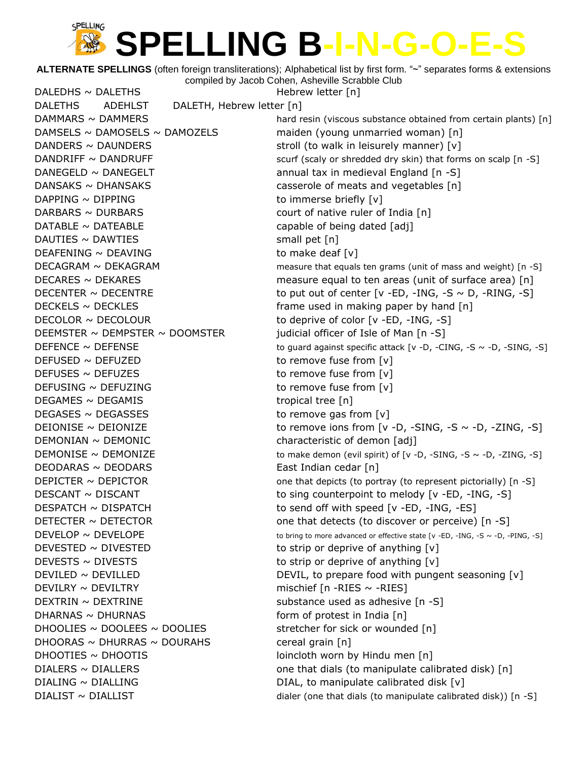**ALTERNATE SPELLINGS** (often foreign transliterations); Alphabetical list by first form. "~" separates forms & extensions compiled by Jacob Cohen, Asheville Scrabble Club

DALEDHS ~ DALETHS Hebrew letter [n] DALETHS ADEHLST DALETH, Hebrew letter [n] DAMMARS ~ DAMMERS **hard resin (viscous substance obtained from certain plants)** [n]  $DAMSELS \sim DAMOSELS \sim DAMOZELS$  maiden (young unmarried woman)  $[n]$ DANDERS  $\sim$  DAUNDERS stroll (to walk in leisurely manner) [v] DANDRIFF ~ DANDRUFF  $\sim$  DANDRUFF scurf (scaly or shredded dry skin) that forms on scalp [n -S] DANEGELD ~ DANEGELT annual tax in medieval England [n -S] DANSAKS  $\sim$  DHANSAKS casserole of meats and vegetables [n]  $DAPPING \sim DIPPING$  to immerse briefly  $[v]$ DARBARS ~ DURBARS **business** court of native ruler of India [n]  $DATABLE \sim \text{DATE}$  DATEABLE capable of being dated  $[adj]$  $DAUTIES \sim DAWTIES$  small pet [n]  $DEAFENING \sim DEAVING$  to make deaf [v]  $DECAGRAM \sim DEKAGRAM$  measure that equals ten grams (unit of mass and weight) [n -S]  $DECARES \sim DEKARES$  measure equal to ten areas (unit of surface area) [n] DECENTER  $\sim$  DECENTRE to put out of center [v -ED, -ING, -S  $\sim$  D, -RING, -S] DECKELS  $\sim$  DECKLES  $\sim$  10 and  $\lceil n \rceil$ DECOLOR ~ DECOLOUR to deprive of color [v -ED, -ING, -S] DEEMSTER  $\sim$  DEMPSTER  $\sim$  DOOMSTER iudicial officer of Isle of Man [n -S] DEFENCE  $\sim$  DEFENSE to guard against specific attack [v -D, -CING, -S  $\sim$  -D, -SING, -S] DEFUSED ~ DEFUZED to remove fuse from [v]  $DEFUSES \sim DEFUZES$  to remove fuse from  $[v]$  $DEFUSING \sim DEFUZING$  to remove fuse from [v]  $DEGAMES \sim DEGAMIS$  tropical tree [n]  $DEGASES \sim DEGASSES$  to remove gas from  $[v]$ DEIONISE  $\sim$  DEIONIZE  $\sim$  to remove ions from [v -D, -SING, -S  $\sim$  -D, -ZING, -S]  $DEMONIAN \sim DEMONIC$  characteristic of demon [adj] DEMONISE  $\sim$  DEMONIZE to make demon (evil spirit) of [v -D, -SING, -S  $\sim$  -D, -ZING, -S] DEODARAS ~ DEODARS **East Indian cedar** [n] DEPICTER  $\sim$  DEPICTOR one that depicts (to portray (to represent pictorially) [n -S]  $DESCANT \sim DISCANT$  to sing counterpoint to melody [v -ED, -ING, -S]  $DESPATCH \sim DISPATH$   $\sim$  DISPATCH to send off with speed [v -ED, -ING, -ES] DETECTER  $\sim$  DETECTOR one that detects (to discover or perceive) [n -S] DEVELOP  $\sim$  DEVELOPE to bring to more advanced or effective state [v -ED, -ING, -S  $\sim$  -D, -PING, -S] DEVESTED  $\sim$  DIVESTED to strip or deprive of anything  $[v]$ DEVESTS  $\sim$  DIVESTS to strip or deprive of anything  $[v]$ DEVILED  $\sim$  DEVILLED  $\sim$  DEVILLED DEVIL, to prepare food with pungent seasoning [v]  $DEVILRY \sim DEVILTRY$  mischief [n -RIES ~ -RIES]  $DEXTRIN \sim DEXTRINE$  substance used as adhesive  $[n -S]$ DHARNAS ~ DHURNAS form of protest in India [n] DHOOLIES  $\sim$  DOOLEES  $\sim$  DOOLIES stretcher for sick or wounded [n] DHOORAS ~ DHURRAS ~ DOURAHS cereal grain  $[n]$ DHOOTIES ~ DHOOTIS loincloth worn by Hindu men [n] DIALERS  $\sim$  DIALLERS  $\sim$  0.01 and 0.01 and 0.01 one that dials (to manipulate calibrated disk) [n] DIALING  $\sim$  DIALLING  $\sim$  DIALING DIAL, to manipulate calibrated disk [v]  $DIALIST \sim DIALLIST$  dialer (one that dials (to manipulate calibrated disk)) [n -S]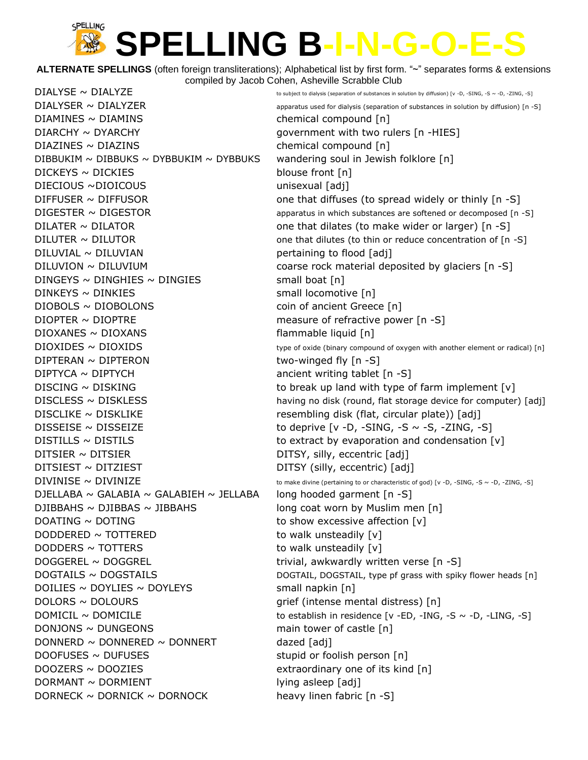**ALTERNATE SPELLINGS** (often foreign transliterations); Alphabetical list by first form. "~" separates forms & extensions compiled by Jacob Cohen, Asheville Scrabble Club

 $DIALYSE \sim DIALYZE$   $\sim$  DIALYZE  $DIALYSER \sim DIALYZER$  apparatus used for dialysis (separation of substances in solution by diffusion) [n -S] DIAMINES ~ DIAMINS chemical compound [n] DIARCHY ~ DYARCHY **bigger and the set of the set of the set of the set of the set of the set of the set of the s**  $DIAZINES \sim DIAZINS$  chemical compound  $[n]$ DIBBUKIM  $\sim$  DIBBUKS  $\sim$  DYBBUKIM  $\sim$  DYBBUKS wandering soul in Jewish folklore [n]  $DICKEYS \sim DICKIES$  blouse front [n] DIECIOUS ~DIOICOUS unisexual [adj] DIFFUSER  $\sim$  DIFFUSOR  $\sim$  000 000 000 that diffuses (to spread widely or thinly [n -S]  $DIGESTER \sim DIGESTOR$  apparatus in which substances are softened or decomposed [n -S] DILATER ~ DILATOR one that dilates (to make wider or larger) [n -S]  $DILUTER \sim DILUTOR$  one that dilutes (to thin or reduce concentration of [n -S]  $DILUVIAL \sim DILUVIAN$  pertaining to flood [adj] DILUVION ~ DILUVIUM coarse rock material deposited by glaciers [n -S]  $DINGEYS \sim DINGHIES \sim DINGIES$  small boat [n] DINKEYS ~ DINKIES small locomotive [n]  $DIOBOLS \sim DIOBOLONS$  coin of ancient Greece [n] DIOPTER ~ DIOPTRE measure of refractive power [n -S]  $DIOXANES ~ DIOXANS$  flammable liquid  $[n]$  $DIOXIDES ~ DIOXIDS$  type of oxide (binary compound of oxygen with another element or radical) [n]  $DIPTERAN \sim DIPTERON$  two-winged fly  $[n -S]$ DIPTYCA ~ DIPTYCH ancient writing tablet [n -S] DISCING  $\sim$  DISKING to break up land with type of farm implement [v] DISCLESS ~ DISKLESS having no disk (round, flat storage device for computer) [adj]  $DISCLIKE \sim DISKLIKE$  resembling disk (flat, circular plate)) [adj] DISSEISE  $\sim$  DISSEIZE to deprive [v -D, -SING, -S  $\sim$  -S, -ZING, -S]  $DISTILLS \sim DISTILS$  to extract by evaporation and condensation  $[v]$ DITSIER ~ DITSIER DITSIER DITSY, silly, eccentric [adj]  $\text{DITSIEST} \sim \text{DITZIEST}$  DITSY (silly, eccentric) [adj]  $\text{DIVINISE} \sim \text{DIVINIZE}$  to make divine (pertaining to or characteristic of god) [v -D, -SING, -S ~ -D, -ZING, -S] DJELLABA ~ GALABIA ~ GALABIEH ~ JELLABA long hooded garment  $[n -S]$ DJIBBAHS ~ DJIBBAS ~ JIBBAHS long coat worn by Muslim men  $[n]$ DOATING  $\sim$  DOTING to show excessive affection [v] DODDERED  $\sim$  TOTTERED to walk unsteadily  $[v]$ DODDERS  $\sim$  TOTTERS to walk unsteadily  $[v]$ DOGGEREL ~ DOGGREL trivial, awkwardly written verse [n -S] DOGTAILS ~ DOGSTAILS DOGTAIL, DOGTAIL, DOGSTAIL, type pf grass with spiky flower heads [n]  $DOLIES \sim DOYLIES \sim DOYLEYS$  small napkin [n] DOLORS ~ DOLOURS contract the mental distress of the mental distress of the mental distress of the mental distress of the mental distress of the mental distress of the mental distress of the mental distress of the mental d DOMICIL ~ DOMICILE to establish in residence [v -ED, -ING, -S ~ -D, -LING, -S]  $DOMJONS \sim DUNGEONS$  main tower of castle  $[n]$  $DONNERD \sim DONNERED \sim DONNERT$  dazed [adj]  $DOOFUSES \sim DUFUSES$  stupid or foolish person [n] DOOZERS ~ DOOZIES extraordinary one of its kind [n]  $DORMANT \sim DORMIENT$  lying asleep [adj] DORNECK  $\sim$  DORNICK  $\sim$  DORNOCK heavy linen fabric [n -S]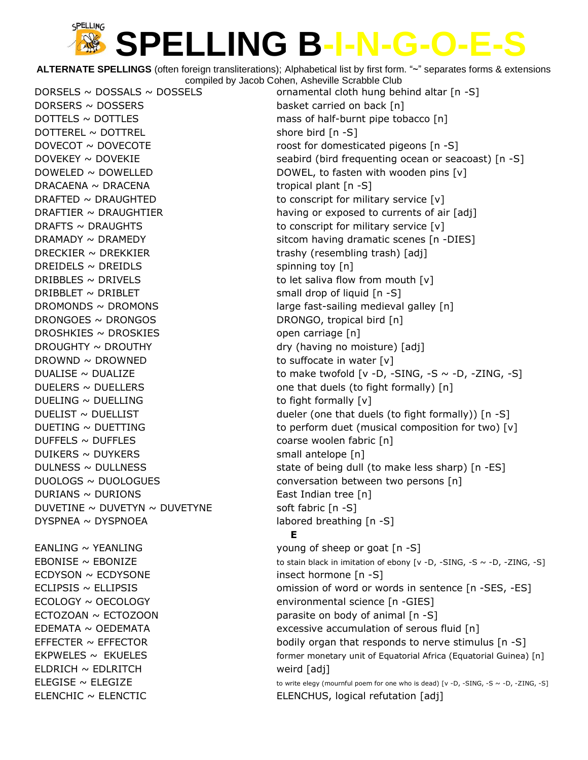**ALTERNATE SPELLINGS** (often foreign transliterations); Alphabetical list by first form. "~" separates forms & extensions compiled by Jacob Cohen, Asheville Scrabble Club

DORSERS ~ DOSSERS basket carried on back [n]  $DOTTEREL \sim DOTTREL$  shore bird  $[n - S]$ DRACAENA ~ DRACENA tropical plant [n -S] DRECKIER  $\sim$  DREKKIER trashy (resembling trash) [adj]  $DREIDELS \sim DREIDLS$  spinning toy  $[n]$ DRIBBLES  $\sim$  DRIVELS to let saliva flow from mouth [v]  $DRIBBLET \sim DRIBLET$  small drop of liquid [n -S] DRONGOES ~ DRONGOS DRONGO, tropical bird [n] DROSHKIES ~ DROSKIES open carriage [n] DROUGHTY ~ DROUTHY dry (having no moisture) [adj] DROWND  $\sim$  DROWNED to suffocate in water  $[v]$  $DUELING \sim DUELLING$  to fight formally  $[v]$ DUFFELS ~ DUFFLES coarse woolen fabric [n]  $DUIKERS \sim DUYKERS$  small antelope [n]  $DURIANS \sim DURIONS$  East Indian tree [n] DUVETINE  $\sim$  DUVETYN  $\sim$  DUVETYNE soft fabric [n -S]  $DYSPNEA \sim DYSPNOEA$  labored breathing  $[n-S]$  $EANLING \sim YEANLING$  young of sheep or goat  $[n-S]$ ECDYSON ~ ECDYSONE insect hormone [n -S] ECOLOGY ~ OECOLOGY environmental science [n -GIES] ECTOZOAN  $\sim$  ECTOZOON parasite on body of animal  $[n -S]$ 

ELDRICH ~ EDLRITCH weird [adj]

DORSELS  $\sim$  DOSSALS  $\sim$  DOSSELS ornamental cloth hung behind altar [n -S]  $DOTTELS \sim DOTTEES$  mass of half-burnt pipe tobacco  $[n]$ DOVECOT ~ DOVECOTE and the roost for domesticated pigeons [n -S] DOVEKEY  $\sim$  DOVEKIE seabird (bird frequenting ocean or seacoast) [n -S] DOWELED ~ DOWELLED DOWEL, to fasten with wooden pins [v] DRAFTED  $\sim$  DRAUGHTED to conscript for military service [v] DRAFTIER  $\sim$  DRAUGHTIER having or exposed to currents of air [adj] DRAFTS  $\sim$  DRAUGHTS to conscript for military service [v]  $DRAMADV \sim DRAMEDY$  sitcom having dramatic scenes [n -DIES] DROMONDS  $\sim$  DROMONS large fast-sailing medieval galley [n] DUALISE  $\sim$  DUALIZE  $\sim$  to make twofold [v -D, -SING, -S  $\sim$  -D, -ZING, -S]  $DUELERS \sim DUELLERS$  one that duels (to fight formally) [n] DUELIST  $\sim$  DUELLIST  $\sim$  DUELLIST dueler (one that duels (to fight formally)) [n -S] DUETING  $\sim$  DUETTING to perform duet (musical composition for two)  $[v]$ DULNESS  $\sim$  DULLNESS  $\sim$  10. The state of being dull (to make less sharp) [n -ES] DUOLOGS ~ DUOLOGUES conversation between two persons [n] **E** EBONISE  $\sim$  EBONIZE to stain black in imitation of ebony  $[v -D, -SING, -S \sim -D, -ZING, -S]$ ECLIPSIS ~ ELLIPSIS omission of word or words in sentence [n -SES, -ES] EDEMATA ~ OEDEMATA **EXCESSIVE ACCUMULATE EDEMATA** excessive accumulation of serous fluid [n] EFFECTER  $\sim$  EFFECTOR bodily organ that responds to nerve stimulus  $[n - S]$  $EKPWELES ~ EKUELES$  [n] former monetary unit of Equatorial Africa (Equatorial Guinea) [n]  $ELEGISE \sim ELEGIZE$  to write elegy (mournful poem for one who is dead) [v -D, -SING, -S ~ -D, -ZING, -S] ELENCHIC ~ ELENCTIC ELENCHUS, logical refutation [adj]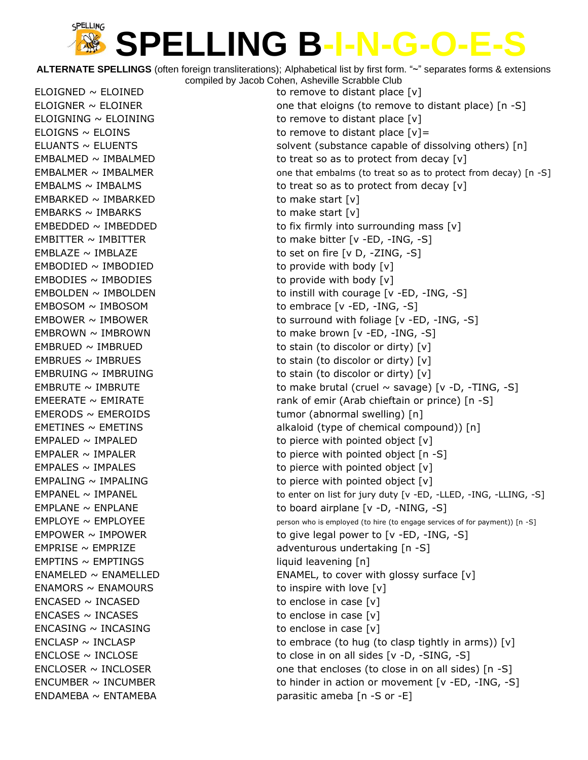**ALTERNATE SPELLINGS** (often foreign transliterations); Alphabetical list by first form. "~" separates forms & extensions compiled by Jacob Cohen, Asheville Scrabble Club

 $EMBARKED \sim IMBARKED$  to make start  $[v]$  $EMBARKS \sim IMBARKS$  to make start  $[v]$  $EMBODIED \sim IMBODIED$   $\longrightarrow$  to provide with body  $[v]$  $EMBODIES \sim IMBODIES$  to provide with body  $[v]$ EMPTINS ~ EMPTINGS in the liquid leavening [n]  $ENAMORS \sim ENAMOURS$  to inspire with love  $[v]$  $ENCASED \sim INCASED$  to enclose in case  $[v]$  $ENCASES \sim INCASES$  to enclose in case  $[v]$  $ENCASING \sim INCASING$  to enclose in case  $[v]$  $ENDAMEBA \sim ENTAMEBA$  entries a parasitic ameba  $[n -S$  or  $-E]$ 

ELOIGNED  $\sim$  ELOINED to remove to distant place  $[v]$ ELOIGNER  $\sim$  ELOINER  $\sim$  ELOINER  $\sim$  ELOIGNER ELOIGNING  $\sim$  ELOINING to remove to distant place  $[v]$ ELOIGNS  $\sim$  ELOINS to remove to distant place  $[v]$  = ELUANTS  $\sim$  ELUENTS  $\sim$  ELUENTS solvent (substance capable of dissolving others) [n] EMBALMED  $\sim$  IMBALMED to treat so as to protect from decay  $[v]$ EMBALMER  $\sim$  IMBALMER  $\sim$  IMBALMER one that embalms (to treat so as to protect from decay) [n -S] EMBALMS  $\sim$  IMBALMS to treat so as to protect from decay  $[v]$ EMBEDDED  $\sim$  IMBEDDED to fix firmly into surrounding mass  $[v]$ EMBITTER ~ IMBITTER to make bitter [v -ED, -ING, -S] EMBLAZE  $\sim$  IMBLAZE  $\sim$  imbediate to set on fire [v D, -ZING, -S]  $EMBOLDEN \sim IMBOLDEN$  to instill with courage  $[v -ED, -ING, -S]$ EMBOSOM ~ IMBOSOM to embrace [v -ED, -ING, -S] EMBOWER ~ IMBOWER to surround with foliage [v -ED, -ING, -S] EMBROWN  $\sim$  IMBROWN  $\sim$  10 TMB to make brown [v -ED, -ING, -S] EMBRUED  $\sim$  IMBRUED to stain (to discolor or dirty)  $[v]$  $EMBRUES \sim IMBRUES$  to stain (to discolor or dirty)  $[v]$ EMBRUING  $\sim$  IMBRUING  $\sim$  TMBRUING EMBRUTE  $\sim$  IMBRUTE to make brutal (cruel  $\sim$  savage) [v -D, -TING, -S] EMEERATE ~ EMIRATE **rank of emir (Arab chieftain or prince)** [n -S] EMERODS ~ EMEROIDS tumor (abnormal swelling) [n] EMETINES ~ EMETINS **EMETING** alkaloid (type of chemical compound)) [n]  $EMPALED \sim IMPALED$   $to$  pierce with pointed object  $[v]$ EMPALER  $\sim$  IMPALER to pierce with pointed object  $[n - S]$  $EMPALES \sim IMPALES$   $to$   $i$  impacts to pierce with pointed object  $[v]$  $EMPALING \sim IMPALING$  to pierce with pointed object  $[v]$  $EMPANEL \sim IMPANEL$   $\sim$  IMPANEL  $\sim$  is to enter on list for jury duty [v -ED, -LLED, -ING, -LLING, -S] EMPLANE  $\sim$  ENPLANE  $\sim$  ENPLANE to board airplane [v -D, -NING, -S]  $EMPLOYE \sim EMPLOYEE$  person who is employed (to hire (to engage services of for payment)) [n -S] EMPOWER  $\sim$  IMPOWER  $\sim$  10 TM  $\sim$  10 TM  $\sim$  10 TM  $\sim$  10 TM  $\sim$  10 TM  $\sim$  10 TM  $\sim$  10 TM  $\sim$  10 TM  $\sim$  10 TM  $\sim$  10 TM  $\sim$  10 TM  $\sim$  10 TM  $\sim$  10 TM  $\sim$  10 TM  $\sim$  10 TM  $\sim$  10 TM  $\sim$  10 TM  $\sim$  10 TM  $\$  $EMPRISE \sim EMPRIZE$  adventurous undertaking  $[n - S]$ ENAMELED ~ ENAMELLED ENAMEL, to cover with glossy surface [v] ENCLASP  $\sim$  INCLASP to embrace (to hug (to clasp tightly in arms)) [v]  $ENCLOSE \sim INCLOSE$  to close in on all sides  $[v -D, -SING, -S]$ ENCLOSER  $\sim$  INCLOSER  $\sim$  INCLOSER  $\sim$  0ne that encloses (to close in on all sides) [n -S] ENCUMBER  $\sim$  INCUMBER to hinder in action or movement [v -ED, -ING, -S]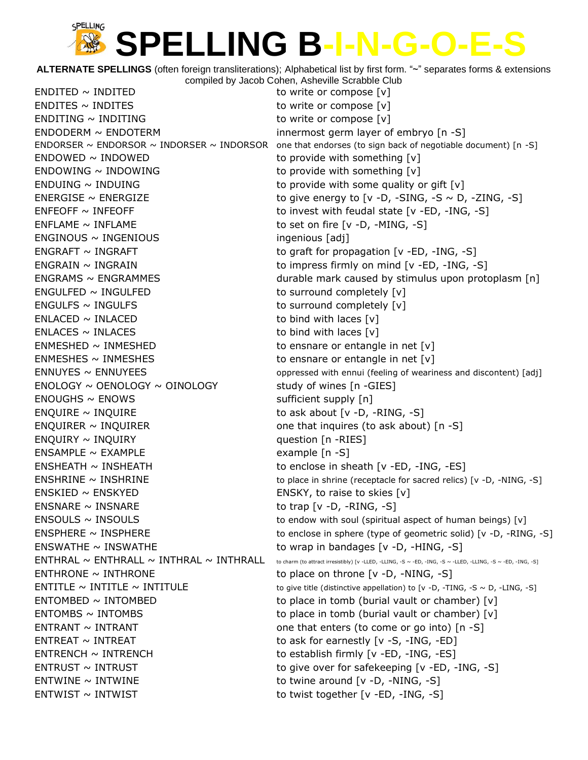**ALTERNATE SPELLINGS** (often foreign transliterations); Alphabetical list by first form. "~" separates forms & extensions compiled by Jacob Cohen, Asheville Scrabble Club

 $ENDITED \sim INDITED$  to write or compose  $[v]$  $ENDITES \sim INDITES$  to write or compose  $[v]$  $ENDITING \sim INDITING$  to write or compose  $[v]$  $ENDODERM \sim ENDOTERM$  innermost germ layer of embryo  $[n -S]$ ENDORSER  $\sim$  ENDORSOR  $\sim$  INDORSER  $\sim$  INDORSOR one that endorses (to sign back of negotiable document) [n -S]  $ENDOWED \sim INDOWED$  to provide with something  $[v]$  $ENDOWING \sim INDOWING$  to provide with something  $[v]$ ENDUING  $\sim$  INDUING to provide with some quality or gift  $[v]$ ENERGISE  $\sim$  ENERGIZE to give energy to [v -D, -SING, -S  $\sim$  D, -ZING, -S] ENFEOFF  $\sim$  INFEOFF to invest with feudal state [v -ED, -ING, -S]  $ENFLAME \sim INFLAME$  to set on fire [v -D, -MING, -S]  $ENGINOUS \sim INGENIOUS$  ingenious [adj]  $ENGRAPH \sim INGRAPH$  to graft for propagation [v -ED, -ING, -S] ENGRAIN  $\sim$  INGRAIN  $\sim$  INGRAIN to impress firmly on mind [v -ED, -ING, -S] ENGRAMS ~ ENGRAMMES durable mark caused by stimulus upon protoplasm [n] ENGULFED ~ INGULFED to surround completely [v]  $ENGULFS \sim INGULFS$  to surround completely  $[v]$  $ENLACED \sim INLACED$  to bind with laces  $[v]$  $ENLACES \sim INLACES$  to bind with laces  $[v]$  $EMMESHED \sim IMMESHED$  to ensnare or entangle in net  $[v]$ ENMESHES  $\sim$  INMESHES  $\sim$  to ensnare or entangle in net [v]  $ENNUYES \sim ENNUYEES$  and the oppressed with ennui (feeling of weariness and discontent) [adj]  $ENOLOGY \sim OENOLOGY \sim OINOLOGY$  study of wines  $[n - GIES]$  $ENOUGHS \sim ENOWS$  sufficient supply  $[n]$  $ENQUIRE \sim INQUIRE$  to ask about [v -D, -RING, -S] ENQUIRER  $\sim$  INQUIRER  $\sim$  INQUIRER  $\sim$  The subset one that inquires (to ask about) [n -S]  $ENQUIRY \sim INQUIRY$  and  $QUIRY \sim INQUIRY$  $ENSAMPLE \sim EXAMPLE$  =  $XAMPLE$  =  $\sim$   $EXAMPLE$  =  $\sim$   $EXAMPLE$  =  $\sim$   $EXAMPLE$  =  $\sim$ ENSHEATH ~ INSHEATH to enclose in sheath [v -ED, -ING, -ES]  $ENSHRINE \sim INSHRINE$  to place in shrine (receptacle for sacred relics) [v -D, -NING, -S]  $ENSKIED \sim ENSKYED$  ENSKY to raise to skies  $[v]$  $ENSNARE \sim INSNARE$  to trap  $[v -D, -RING, -S]$  $ENSOLS \sim INSOLS$  to endow with soul (spiritual aspect of human beings) [v]  $ENSPHERE \sim INSPHERE$  to enclose in sphere (type of geometric solid)  $[v -D, -RING, -S]$  $ENSWATHE \sim INSWATHE$  to wrap in bandages [v -D, -HING, -S]  $\mathsf{ENTHRAL} \sim \mathsf{ENTHRAL} \sim \mathsf{INTERL} \sim \mathsf{INTERL} \sim \mathsf{INTERL}$  to charm (to attract irresistibly) [v -LLED, -LLING, -S ~ -ED, -ING, -S ~ -LLED, -LLING, -S ~ -ED, -ING, -S ~ -ED, -ING, -S] ENTHRONE ~ INTHRONE to place on throne [v -D, -NING, -S] ENTITLE  $\sim$  INTITLE  $\sim$  INTITULE to give title (distinctive appellation) to [v -D, -TING, -S  $\sim$  D, -LING, -S]  $ENTOMBED \sim INTOMBED$  to place in tomb (burial vault or chamber)  $[v]$  $ENTOMBS \sim INTOMBS$   $\longrightarrow$  to place in tomb (burial vault or chamber) [v] ENTRANT  $\sim$  INTRANT  $\sim$  INTRANT  $\sim$  THE SECTED one that enters (to come or go into) [n -S]  $ENTREAT \sim INTREAT$  to ask for earnestly [v -S, -ING, -ED]  $ENTRENCH \sim INTRENCH$  to establish firmly [v -ED, -ING, -ES] ENTRUST  $\sim$  INTRUST  $\sim$  INTRUST to give over for safekeeping [v -ED, -ING, -S]  $ENTWINE \sim INTWINE$   $\longrightarrow$  to twine around  $[v -D, -NING, -S]$  $ENTWIST \sim INTWIST$  to twist together [v -ED, -ING, -S]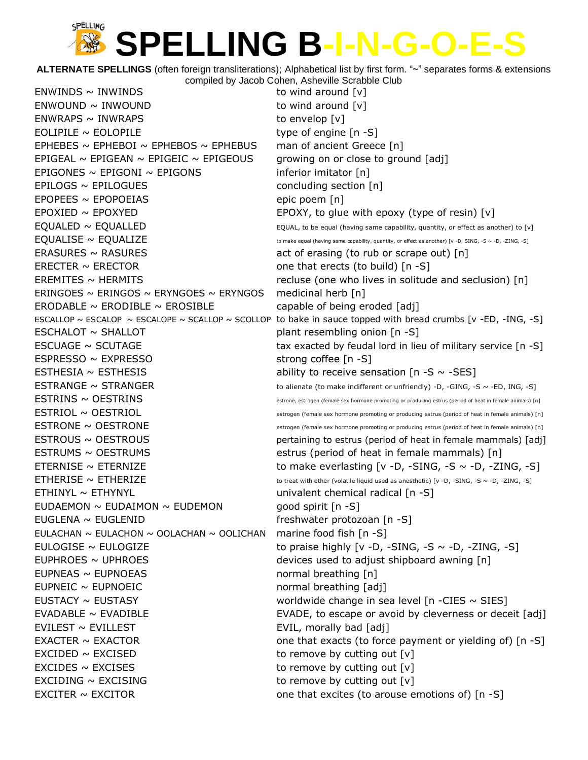**ALTERNATE SPELLINGS** (often foreign transliterations); Alphabetical list by first form. "~" separates forms & extensions compiled by Jacob Cohen, Asheville Scrabble Club

 $ENWINDS \sim INWINDS$  to wind around  $[v]$  $ENWOUND \sim INWOUND$  to wind around  $[v]$  $ENWRAPS ~ INWRAPS$  to envelop  $[v]$  $EOLIPILE \sim EOLOPILE$  type of engine  $[n -S]$ EPHEBES  $\sim$  EPHEBOI  $\sim$  EPHEBOS  $\sim$  EPHEBUS man of ancient Greece [n] EPIGEAL  $\sim$  EPIGEAN  $\sim$  EPIGEIC  $\sim$  EPIGEOUS growing on or close to ground [adj] EPIGONES  $\sim$  EPIGONI  $\sim$  EPIGONS inferior imitator [n]  $EPILOGS \sim EPILOGUES$  concluding section  $[n]$  $EPOPEES \sim EPOPOEIAS$  epic poem [n] EPOXIED  $\sim$  EPOXYED EPOXY, to glue with epoxy (type of resin) [v]  $E\text{QUALED} \sim E\text{QUALLED}$   $\sim$  EQUALLED  $\sim$  EQUAL, to be equal (having same capability, quantity, or effect as another) to [v]  $E\text{QUALISE} \sim E\text{QUALIZE}$  to make equal (having same capability, quantity, or effect as another) [v -D, SING, -S ~ -D, -ZING, -S] ERASURES  $\sim$  RASURES act of erasing (to rub or scrape out) [n] ERECTER  $\sim$  ERECTOR one that erects (to build) [n -S]  $EREMITES \sim HERMITS$  recluse (one who lives in solitude and seclusion) [n] ERINGOES  $\sim$  ERINGOS  $\sim$  ERYNGOES  $\sim$  ERYNGOS medicinal herb [n] ERODABLE  $\sim$  ERODIBLE  $\sim$  EROSIBLE capable of being eroded [adj] ESCALLOP ~ ESCALOP ~ ESCALOPE ~ SCALLOP ~ SCOLLOP to bake in sauce topped with bread crumbs [v -ED, -ING, -S] ESCHALOT ~ SHALLOT plant resembling onion [n -S] ESCUAGE  $\sim$  SCUTAGE tax exacted by feudal lord in lieu of military service  $[n - S]$ ESPRESSO ~ EXPRESSO strong coffee [n -S] ESTHESIA  $\sim$  ESTHESIS ability to receive sensation [n -S  $\sim$  -SES] ESTRANGE  $\sim$  STRANGER to alienate (to make indifferent or unfriendly) -D, -GING, -S  $\sim$  -ED, ING, -S]  $ESTRINS \sim OESTRINS$   $\sim$  0 ESTRINS  $\sim$  8trone, estrogen (female sex hormone promoting or producing estrus (period of heat in female animals) [n]  $ESTRIOL \sim OESTRIOL$  estrogen (female sex hormone promoting or producing estrus (period of heat in female animals) [n]  $ESTRONE \sim OESTRONE$  estrogen (female sex hormone promoting or producing estrus (period of heat in female animals) [n]  $ESTROUS \sim OESTROUS$  pertaining to estrus (period of heat in female mammals) [adj] ESTRUMS ~ OESTRUMS estrus (period of heat in female mammals) [n] ETERNISE  $\sim$  ETERNIZE to make everlasting [v -D, -SING, -S  $\sim$  -D, -ZING, -S] ETHERISE  $\sim$  ETHERIZE  $\sim$  to treat with ether (volatile liquid used as anesthetic) [v -D, -SING, -S ~ -D, -ZING, -S] ETHINYL ~ ETHYNYL UNIVERSITY Univalent chemical radical [n -S] EUDAEMON  $\sim$  EUDAIMON  $\sim$  EUDEMON good spirit [n -S] EUGLENA ~ EUGLENID freshwater protozoan [n -S] EULACHAN  $\sim$  EULACHON  $\sim$  OOLACHAN  $\sim$  OOLICHAN marine food fish [n -S] EULOGISE  $\sim$  EULOGIZE to praise highly [v -D, -SING, -S  $\sim$  -D, -ZING, -S] EUPHROES  $\sim$  UPHROES  $\sim$  1.0 Term of the devices used to adjust shipboard awning [n] EUPNEAS ~ EUPNOEAS normal breathing [n] EUPNEIC ~ EUPNOEIC and the mormal breathing [adj] EUSTACY  $\sim$  EUSTASY  $\sim$  EUSTASY worldwide change in sea level [n -CIES  $\sim$  SIES] EVADABLE ~ EVADIBLE **EVALUAGE EVADE, to escape or avoid by cleverness or deceit** [adj]  $EVILEST \sim EVILLEST$  EVILLEST EVIL, morally bad [adj] EXACTER ~ EXACTOR one that exacts (to force payment or yielding of) [n -S]  $EXCIDED \sim EXCISED$  to remove by cutting out  $[v]$  $EXCIDES \sim EXCISES$  to remove by cutting out  $[v]$  $EXCIDING \sim EXCISING$  to remove by cutting out  $[v]$ EXCITER  $\sim$  EXCITOR  $\sim$  EXCITOR one that excites (to arouse emotions of) [n -S]